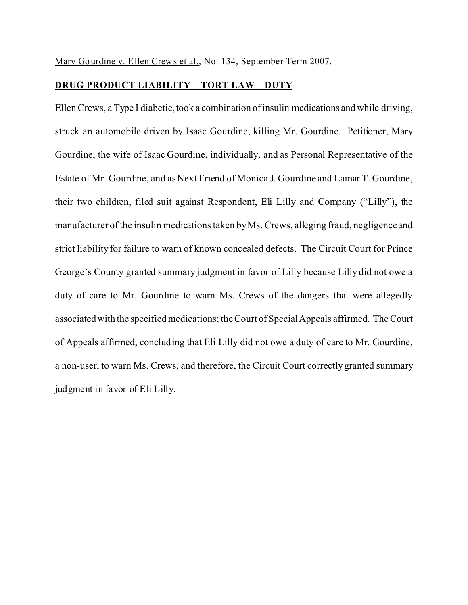Mary Gourdine v. Ellen Crews et al., No. 134, September Term 2007.

## **DRUG PRODUCT LIABILITY – TORT LAW – DUTY**

Ellen Crews, a Type I diabetic, took a combination of insulin medications and while driving, struck an automobile driven by Isaac Gourdine, killing Mr. Gourdine. Petitioner, Mary Gourdine, the wife of Isaac Gourdine, individually, and as Personal Representative of the Estate of Mr. Gourdine, and as Next Friend of Monica J. Gourdine and Lamar T. Gourdine, their two children, filed suit against Respondent, Eli Lilly and Company ("Lilly"), the manufacturer of the insulin medications taken by Ms. Crews, alleging fraud, negligence and strict liability for failure to warn of known concealed defects. The Circuit Court for Prince George's County granted summary judgment in favor of Lilly because Lilly did not owe a duty of care to Mr. Gourdine to warn Ms. Crews of the dangers that were allegedly associated with the specified medications; the Court of Special Appeals affirmed. The Court of Appeals affirmed, concluding that Eli Lilly did not owe a duty of care to Mr. Gourdine, a non-user, to warn Ms. Crews, and therefore, the Circuit Court correctly granted summary judgment in favor of Eli Lilly.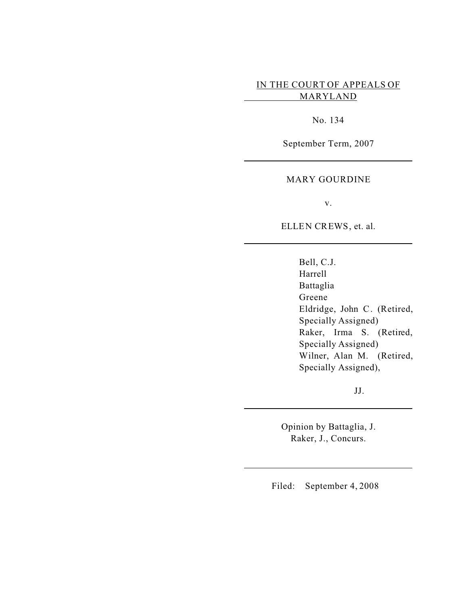# IN THE COURT OF APPEALS OF MARYLAND

No. 134

September Term, 2007

### MARY GOURDINE

v.

ELLEN CREWS, et. al.

Bell, C.J. Harrell Battaglia Greene Eldridge, John C. (Retired, Specially Assigned) Raker, Irma S. (Retired, Specially Assigned) Wilner, Alan M. (Retired, Specially Assigned),

JJ.

Opinion by Battaglia, J. Raker, J., Concurs.

Filed: September 4, 2008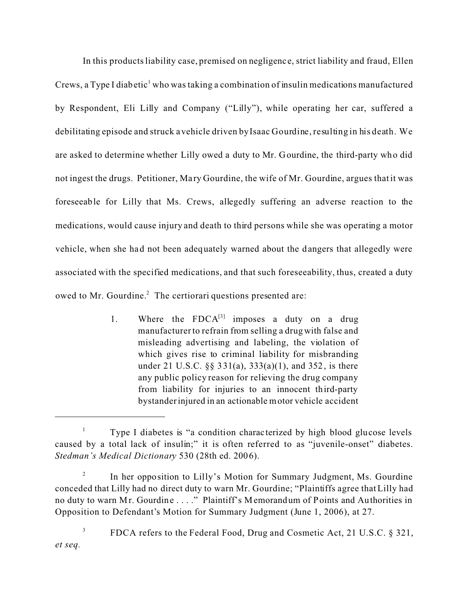In this products liability case, premised on negligenc e, strict liability and fraud, Ellen Crews, a Type I diabetic<sup>1</sup> who was taking a combination of insulin medications manufactured by Respondent, Eli Lilly and Company ("Lilly"), while operating her car, suffered a debilitating episode and struck a vehicle driven by Isaac Gourdine, resulting in his death. We are asked to determine whether Lilly owed a duty to Mr. Gourdine, the third-party who did not ingest the drugs. Petitioner, Mary Gourdine, the wife of Mr. Gourdine, argues that it was foreseeable for Lilly that Ms. Crews, allegedly suffering an adverse reaction to the medications, would cause injury and death to third persons while she was operating a motor vehicle, when she had not been adequately warned about the dangers that allegedly were associated with the specified medications, and that such foreseeability, thus, created a duty owed to Mr. Gourdine.<sup>2</sup> The certiorari questions presented are:

> 1. Where the  $FDCA^{[3]}$  imposes a duty on a drug manufacturer to refrain from selling a drug with false and misleading advertising and labeling, the violation of which gives rise to criminal liability for misbranding under 21 U.S.C. §§ 331(a), 333(a)(1), and 352, is there any public policy reason for relieving the drug company from liability for injuries to an innocent third-party bystander injured in an actionable motor vehicle accident

<sup>&</sup>lt;sup>1</sup> Type I diabetes is "a condition characterized by high blood glucose levels caused by a total lack of insulin;" it is often referred to as "juvenile-onset" diabetes. *Stedman's Medical Dictionary* 530 (28th ed. 2006).

<sup>2</sup> In her opposition to Lilly's Motion for Summary Judgment, Ms. Gourdine conceded that Lilly had no direct duty to warn Mr. Gourdine; "Plaintiffs agree that Lilly had no duty to warn Mr. Gourdine . . . ." Plaintiff's Memorandum of Points and Authorities in Opposition to Defendant's Motion for Summary Judgment (June 1, 2006), at 27.

<sup>3</sup> FDCA refers to the Federal Food, Drug and Cosmetic Act, 21 U.S.C. § 321, *et seq.*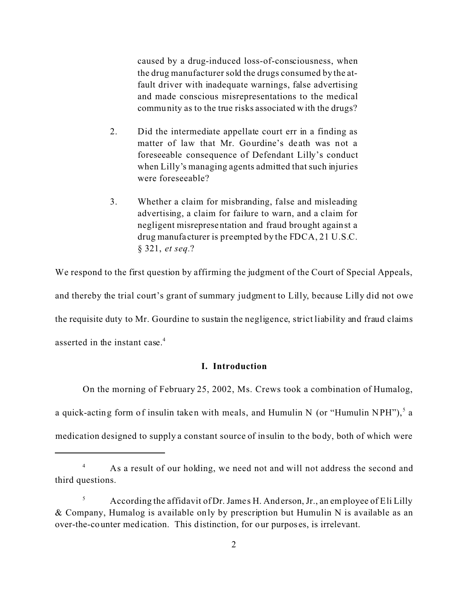caused by a drug-induced loss-of-consciousness, when the drug manufacturer sold the drugs consumed by the atfault driver with inadequate warnings, false advertising and made conscious misrepresentations to the medical community as to the true risks associated with the drugs?

- 2. Did the intermediate appellate court err in a finding as matter of law that Mr. Gourdine's de ath was not a foreseeable consequence of Defendant Lilly's conduct when Lilly's managing agents admitted that such injuries were foreseeable?
- 3. Whether a claim for misbranding, false and misleading advertising, a claim for failure to warn, and a claim for negligent misrepresentation and fraud brought against a drug manufa cturer is preempted by the FDCA, 21 U.S.C. § 321, *et seq.*?

We respond to the first question by affirming the judgment of the Court of Special Appeals, and thereby the trial court's grant of summary judgment to Lilly, because Lilly did not owe the requisite duty to Mr. Gourdine to sustain the negligence, strict liability and fraud claims asserted in the instant case.<sup>4</sup>

### **I. Introduction**

On the morning of February 25, 2002, Ms. Crews took a combination of Humalog, a quick-acting form of insulin taken with meals, and Humulin N (or "Humulin NPH"), $^5$  a medication designed to supply a constant source of insulin to the body, both of which were

<sup>&</sup>lt;sup>4</sup> As a result of our holding, we need not and will not address the second and third questions.

 $5$  According the affidavit of Dr. James H. Anderson, Jr., an employee of Eli Lilly & Company, Humalog is available only by prescription but Humulin N is available as an over-the-counter medication. This distinction, for our purposes, is irrelevant.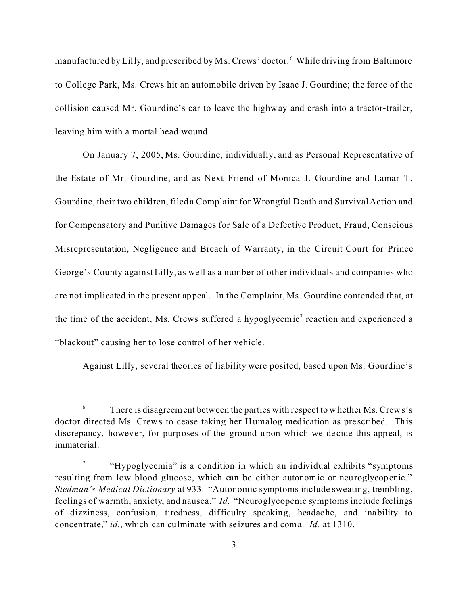manufactured by Lilly, and prescribed by Ms. Crews' doctor. <sup>6</sup> While driving from Baltimore to College Park, Ms. Crews hit an automobile driven by Isaac J. Gourdine; the force of the collision caused Mr. Gourdine's car to leave the highway and crash into a tractor-trailer, leaving him with a mortal head wound.

On January 7, 2005, Ms. Gourdine, individually, and as Personal Representative of the Estate of Mr. Gourdine, and as Next Friend of Monica J. Gourdine and Lamar T. Gourdine, their two children, filed a Complaint for Wrongful Death and Survival Action and for Compensatory and Punitive Damages for Sale of a Defective Product, Fraud, Conscious Misrepresentation, Negligence and Breach of Warranty, in the Circuit Court for Prince George's County against Lilly, as well as a number of other individuals and companies who are not implicated in the present appeal. In the Complaint, Ms. Gourdine contended that, at the time of the accident, Ms. Crews suffered a hypoglycemic<sup>7</sup> reaction and experienced a "blackout" causing her to lose control of her vehicle.

Against Lilly, several theories of liability were posited, based upon Ms. Gourdine's

<sup>6</sup> There is disagreement between the parties with respect to whether Ms. Crews's doctor directed Ms. Crews to cease taking her Humalog medication as pre scribed. This discrepancy, however, for purposes of the ground upon which we de cide this appeal, is immaterial.

<sup>7</sup> "Hypoglycemia" is a condition in which an individual exhibits "symptoms resulting from low blood glucose, which can be either autonomic or neuroglycopenic." *Stedman's Medical Dictionary* at 933. "Autonomic symptoms include sweating, trembling, feelings of warmth, anxiety, and nausea." *Id.* "Neuroglycopenic symptoms include feelings of dizziness, confusion, tiredness, difficulty speaking, headache, and inability to concentrate," *id.*, which can culminate with seizures and coma. *Id.* at 1310.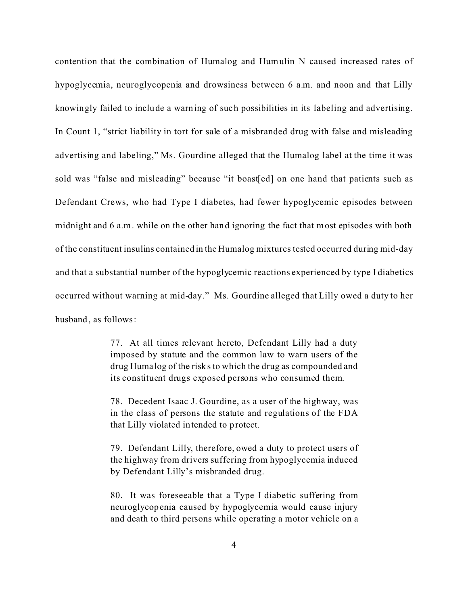contention that the combination of Humalog and Humulin N caused increased rates of hypoglycemia, neuroglycopenia and drowsiness between 6 a.m. and noon and that Lilly knowingly failed to include a warning of such possibilities in its labeling and advertising. In Count 1, "strict liability in tort for sale of a misbranded drug with false and misleading advertising and labeling," Ms. Gourdine alleged that the Humalog label at the time it was sold was "false and misleading" because "it boast[ed] on one hand that patients such as Defendant Crews, who had Type I diabetes, had fewer hypoglycemic episodes between midnight and 6 a.m. while on the other hand ignoring the fact that most episodes with both of the constituent insulins contained in the Humalog mixtures tested occurred during mid-day and that a substantial number of the hypoglycemic reactions experienced by type I diabetics occurred without warning at mid-day." Ms. Gourdine alleged that Lilly owed a duty to her husband, as follows:

> 77. At all times relevant hereto, Defendant Lilly had a duty imposed by statute and the common law to warn users of the drug Huma log of the risks to which the drug as compounded and its constituent drugs exposed persons who consumed them.

> 78. Decedent Isaac J. Gourdine, as a user of the highway, was in the class of persons the statute and regulations of the FDA that Lilly violated intended to protect.

> 79. Defendant Lilly, therefore, owed a duty to protect users of the highway from drivers suffering from hypoglycemia induced by Defendant Lilly's misbranded drug.

> 80. It was foreseeable that a Type I diabetic suffering from neuroglycopenia caused by hypoglycemia would cause injury and death to third persons while operating a motor vehicle on a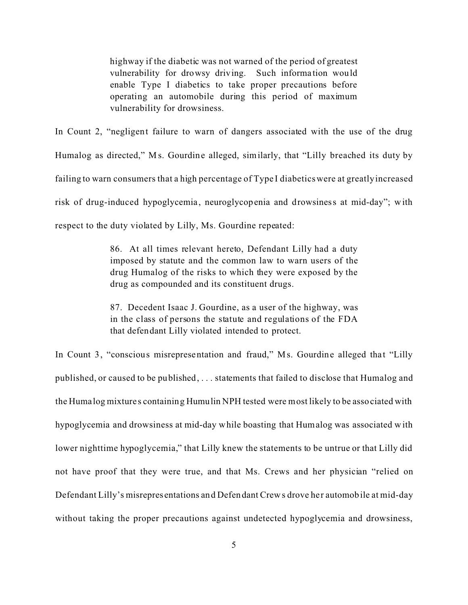highway if the diabetic was not warned of the period of greatest vulnerability for drowsy driving. Such information would enable Type I diabetics to take proper precautions before operating an automobile during this period of maximum vulnerability for drowsiness.

In Count 2, "negligent failure to warn of dangers associated with the use of the drug Humalog as directed," M s. Gourdine alleged, similarly, that "Lilly breached its duty by failing to warn consumers that a high percentage of Type I diabetics were at greatly increased risk of drug-induced hypoglycemia, neuroglycopenia and drowsiness at mid-day"; with respect to the duty violated by Lilly, Ms. Gourdine repeated:

> 86. At all times relevant hereto, Defendant Lilly had a duty imposed by statute and the common law to warn users of the drug Humalog of the risks to which they were exposed by the drug as compounded and its constituent drugs.

> 87. Decedent Isaac J. Gourdine, as a user of the highway, was in the class of persons the statute and regulations of the FDA that defendant Lilly violated intended to protect.

In Count 3, "conscious misrepresentation and fraud," Ms. Gourdine alleged that "Lilly published, or caused to be published, . . . statements that failed to disclose that Humalog and the Huma log mixture s containing Humulin NPH tested were most likely to be associated with hypoglycemia and drowsiness at mid-day while boasting that Humalog was associated with lower nighttime hypoglycemia," that Lilly knew the statements to be untrue or that Lilly did not have proof that they were true, and that Ms. Crews and her physician "relied on Defendant Lilly's misrepresentations and Defendant Crews drove her automobile at mid-day without taking the proper precautions against undetected hypoglycemia and drowsiness,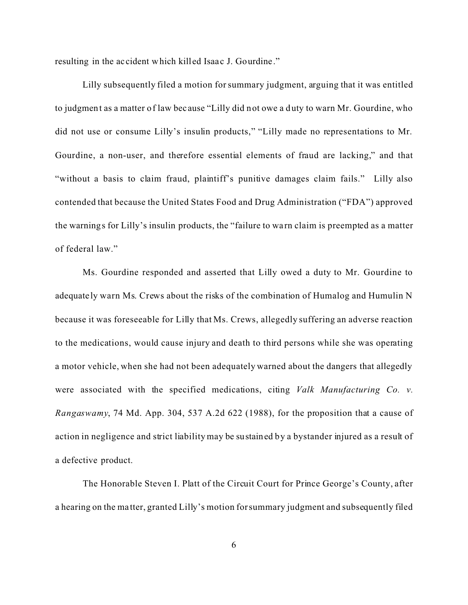resulting in the ac cident which killed Isaac J. Gourdine."

Lilly subsequently filed a motion for summary judgment, arguing that it was entitled to judgment as a matter of law bec ause "Lilly did not owe a duty to warn Mr. Gourdine, who did not use or consume Lilly's insulin products," "Lilly made no representations to Mr. Gourdine, a non-user, and therefore essential elements of fraud are lacking," and that "without a basis to claim fraud, plaintiff's punitive damages claim fails." Lilly also contended that because the United States Food and Drug Administration ("FDA") approved the warnings for Lilly's insulin products, the "failure to wa rn claim is preempted as a matter of federal law."

Ms. Gourdine responded and asserted that Lilly owed a duty to Mr. Gourdine to adequate ly warn Ms. Crews about the risks of the combination of Humalog and Humulin N because it was foreseeable for Lilly that Ms. Crews, allegedly suffering an adverse reaction to the medications, would cause injury and death to third persons while she was operating a motor vehicle, when she had not been adequately warned about the dangers that allegedly were associated with the specified medications, citing *Valk Manufacturing Co. v. Rangaswamy*, 74 Md. App. 304, 537 A.2d 622 (1988), for the proposition that a cause of action in negligence and strict liability may be sustained by a bystander injured as a result of a defective product.

The Honorable Steven I. Platt of the Circuit Court for Prince George's County, after a hearing on the ma tter, granted Lilly's motion for summary judgment and subsequently filed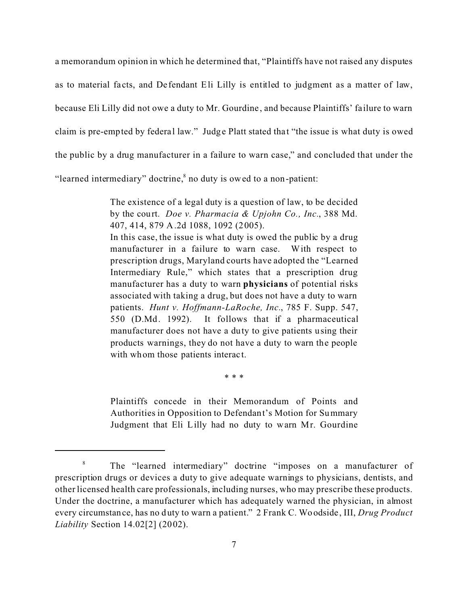a memorandum opinion in which he determined that, "Plaintiffs have not raised any disputes as to material fa cts, and De fendant Eli Lilly is entitled to judgment as a matter of law, because Eli Lilly did not owe a duty to Mr. Gourdine , and because Plaintiffs' fa ilure to warn claim is pre-empted by federal law." Judge Platt stated that "the issue is what duty is owed the public by a drug manufacturer in a failure to warn case," and concluded that under the "learned intermediary" doctrine, $\delta$  no duty is owed to a non-patient:

> The existence of a legal duty is a question of law, to be decided by the court. *Doe v. Pharmacia & Upjohn Co., Inc.*, 388 Md. 407, 414, 879 A.2d 1088, 1092 (2005).

> In this case, the issue is what duty is owed the public by a drug manufacturer in a failure to warn case. With respect to prescription drugs, Maryland courts have adopted the "Learned Intermediary Rule," which states that a prescription drug manufacturer has a duty to warn **physicians** of potential risks associated with taking a drug, but does not have a duty to warn patients. *Hunt v. Hoffmann-LaRoche, Inc.*, 785 F. Supp. 547, 550 (D.Md. 1992). It follows that if a pharmaceutical manufacturer does not have a duty to give patients using their products warnings, they do not have a duty to warn the people with whom those patients interact.

> > \* \* \*

Plaintiffs concede in their Memorandum of Points and Authorities in Opposition to Defendant's Motion for Summary Judgment that Eli Lilly had no duty to warn Mr. Gourdine

<sup>&</sup>lt;sup>8</sup> The "learned intermediary" doctrine "imposes on a manufacturer of prescription drugs or devices a duty to give adequate warnings to physicians, dentists, and other licensed health care professionals, including nurses, who may prescribe these products. Under the doctrine, a manufacturer which has adequately warned the physician, in almost every circumstance, has no duty to warn a patient." 2 Frank C. Woodside, III, *Drug Product Liability* Section 14.02[2] (2002).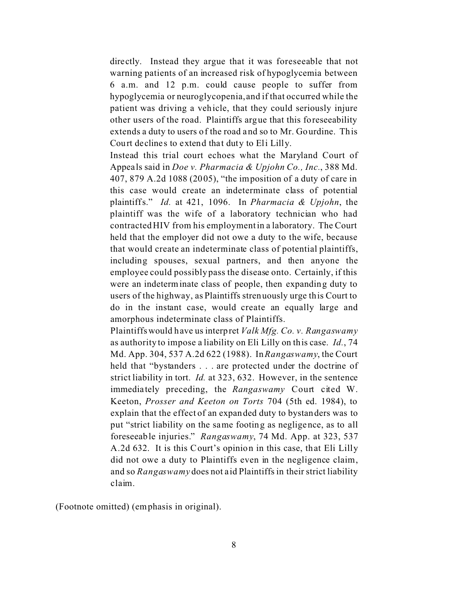directly. Instead they argue that it was foreseeable that not warning patients of an increased risk of hypoglycemia between 6 a.m. and 12 p.m. could cause people to suffer from hypoglycemia or neuroglycopenia, and if that occurred while the patient was driving a vehicle, that they could seriously injure other users of the road. Plaintiffs argue that this foreseeability extends a duty to users of the road and so to Mr. Gourdine. This Court declines to extend that duty to Eli Lilly.

Instead this trial court echoes what the Maryland Court of Appeals said in *Doe v. Pharmacia & Upjohn Co., Inc.*, 388 Md. 407, 879 A.2d 1088 (2005), "the imposition of a duty of care in this case would create an indeterminate class of potential plaintiffs." *Id.* at 421, 1096. In *Pharmacia & Upjohn*, the plaintiff was the wife of a laboratory technician who had contracted HIV from his employment in a laboratory. The Court held that the employer did not owe a duty to the wife, because that would create an indeterminate class of potential plaintiffs, including spouses, sexual partners, and then anyone the employee could possibly pass the disease onto. Certainly, if this were an indeterminate class of people, then expanding duty to users of the highway, as Plaintiffs strenuously urge this Court to do in the instant case, would create an equally large and amorphous indeterminate class of Plaintiffs.

Plaintiffs would have us interpret *Valk Mfg. Co. v. Rangaswamy* as authority to impose a liability on Eli Lilly on this case. *Id.*, 74 Md. App. 304, 537 A.2d 622 (1988). In *Rangaswamy*, the Court held that "bystanders . . . are protected under the doctrine of strict liability in tort. *Id.* at 323, 632. However, in the sentence immediately preceding, the *Rangaswamy* Court cited W. Keeton, *Prosser and Keeton on Torts* 704 (5th ed. 1984), to explain that the effect of an expanded duty to bystanders was to put "strict liability on the same footing as negligence, as to all foreseeable injuries." *Rangaswamy*, 74 Md. App. at 323, 537 A.2d 632. It is this Court's opinion in this case, that Eli Lilly did not owe a duty to Plaintiffs even in the negligence claim, and so *Rangaswamy* does not aid Plaintiffs in their strict liability claim.

(Footnote omitted) (emphasis in original).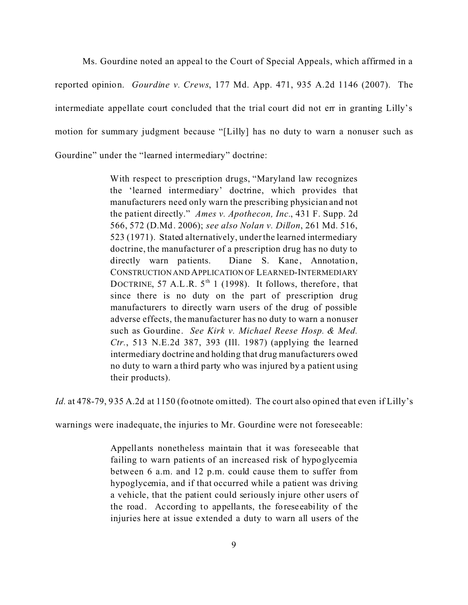Ms. Gourdine noted an appeal to the Court of Special Appeals, which affirmed in a reported opinion. *Gourdine v. Crews*, 177 Md. App. 471, 935 A.2d 1146 (2007). The intermediate appellate court concluded that the trial court did not err in granting Lilly's motion for summary judgment because "[Lilly] has no duty to warn a nonuser such as Gourdine" under the "learned intermediary" doctrine:

> With respect to prescription drugs, "Maryland law recognizes the 'learned intermediary' doctrine, which provides that manufacturers need only warn the prescribing physician and not the patient directly." *Ames v. Apothecon, Inc.*, 431 F. Supp. 2d 566, 572 (D.Md. 2006); *see also Nolan v. Dillon*, 261 Md. 516, 523 (1971). Stated alternatively, under the learned intermediary doctrine, the manufacturer of a prescription drug has no duty to directly warn patients. Diane S. Kane, Annotation, CONSTRUCTION AND APPLICATION OF LEARNED-INTERMEDIARY DOCTRINE, 57 A.L.R.  $5<sup>th</sup> 1$  (1998). It follows, therefore, that since there is no duty on the part of prescription drug manufacturers to directly warn users of the drug of possible adverse effects, the manufacturer has no duty to warn a nonuser such as Gourdine. *See Kirk v. Michael Reese Hosp. & Med. Ctr.*, 513 N.E.2d 387, 393 (Ill. 1987) (applying the learned intermediary doctrine and holding that drug manufacturers owed no duty to warn a third party who was injured by a patient using their products).

*Id.* at 478-79, 935 A.2d at 1150 (footnote omitted). The court also opined that even if Lilly's

warnings were inadequate, the injuries to Mr. Gourdine were not foreseeable:

Appellants nonetheless maintain that it was foreseeable that failing to warn patients of an increased risk of hypoglycemia between 6 a.m. and 12 p.m. could cause them to suffer from hypoglycemia, and if that occurred while a patient was driving a vehicle, that the patient could seriously injure other users of the road. According to appellants, the foreseeability of the injuries here at issue extended a duty to warn all users of the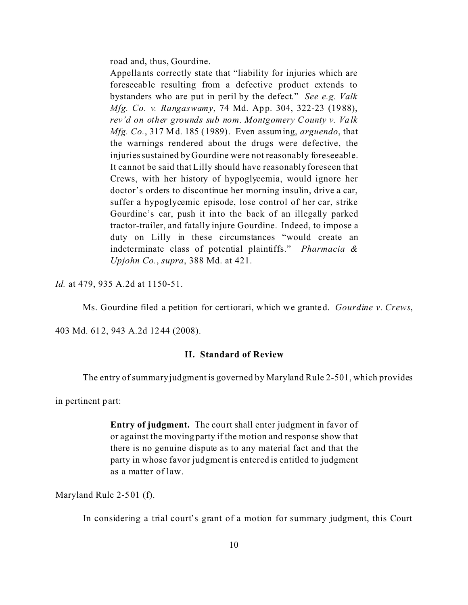road and, thus, Gourdine.

Appellants correctly state that "liability for injuries which are foreseeable resulting from a defective product extends to bystanders who are put in peril by the defect." *See e.g. Valk Mfg. Co. v. Rangaswamy*, 74 Md. App. 304, 322-23 (1988), *rev'd on other grounds sub nom. Montgomery County v. Valk Mfg. Co.*, 317 Md. 185 (1989). Even assuming, *arguendo*, that the warnings rendered about the drugs were defective, the injuries sustained by Gourdine were not reasonably foreseeable. It cannot be said that Lilly should have reasonably foreseen that Crews, with her history of hypoglycemia, would ignore her doctor's orders to discontinue her morning insulin, drive a car, suffer a hypoglycemic episode, lose control of her car, strike Gourdine's car, push it into the back of an illegally parked tractor-trailer, and fatally injure Gourdine. Indeed, to impose a duty on Lilly in these circumstances "would create an indeterminate class of potential plaintiffs." *Pharmacia & Upjohn Co.*, *supra*, 388 Md. at 421.

*Id.* at 479, 935 A.2d at 1150-51.

Ms. Gourdine filed a petition for certiorari, which we granted. *Gourdine v. Crews*,

403 Md. 612, 943 A.2d 1244 (2008).

### **II. Standard of Review**

The entry of summary judgment is governed by Maryland Rule 2-501, which provides

in pertinent part:

**Entry of judgment.** The court shall enter judgment in favor of or against the moving party if the motion and response show that there is no genuine dispute as to any material fact and that the party in whose favor judgment is entered is entitled to judgment as a matter of law.

Maryland Rule 2-501 (f).

In considering a trial court's grant of a motion for summary judgment, this Court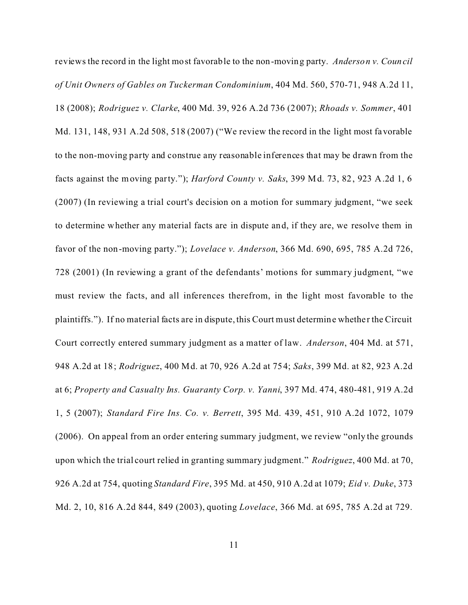reviews the record in the light most favorable to the non-moving party. *Anderson v. Council of Unit Owners of Gables on Tuckerman Condominium*, 404 Md. 560, 570-71, 948 A.2d 11, 18 (2008); *Rodriguez v. Clarke*, 400 Md. 39, 926 A.2d 736 (2007); *Rhoads v. Sommer*, 401 Md. 131, 148, 931 A.2d 508, 518 (2007) ("We review the record in the light most favorable to the non-moving party and construe any reasonable inferences that may be drawn from the facts against the moving party."); *Harford County v. Saks*, 399 Md. 73, 82, 923 A.2d 1, 6 (2007) (In reviewing a trial court's decision on a motion for summary judgment, "we seek to determine whether any material facts are in dispute and, if they are, we resolve them in favor of the non-moving party."); *Lovelace v. Anderson*, 366 Md. 690, 695, 785 A.2d 726, 728 (2001) (In reviewing a grant of the defendants' motions for summary judgment, "we must review the facts, and all inferences therefrom, in the light most favorable to the plaintiffs."). If no material facts are in dispute, this Court must determine whether the Circuit Court correctly entered summary judgment as a matter of law. *Anderson*, 404 Md. at 571, 948 A.2d at 18; *Rodriguez*, 400 Md. at 70, 926 A.2d at 754; *Saks*, 399 Md. at 82, 923 A.2d at 6; *Property and Casualty Ins. Guaranty Corp. v. Yanni*, 397 Md. 474, 480-481, 919 A.2d 1, 5 (2007); *Standard Fire Ins. Co. v. Berrett*, 395 Md. 439, 451, 910 A.2d 1072, 1079 (2006). On appeal from an order entering summary judgment, we review "only the grounds upon which the trial court relied in granting summary judgment." *Rodriguez*, 400 Md. at 70, 926 A.2d at 754, quoting *Standard Fire*, 395 Md. at 450, 910 A.2d at 1079; *Eid v. Duke*, 373 Md. 2, 10, 816 A.2d 844, 849 (2003), quoting *Lovelace*, 366 Md. at 695, 785 A.2d at 729.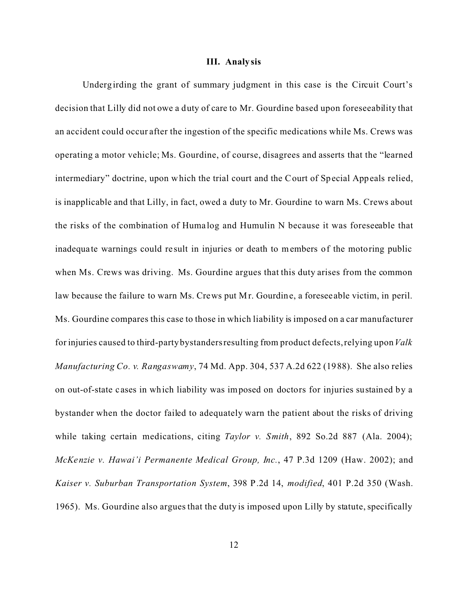#### **III. Analy sis**

Underg irding the grant of summary judgment in this case is the Circuit Court's decision that Lilly did not owe a duty of care to Mr. Gourdine based upon foreseeability that an accident could occur after the ingestion of the specific medications while Ms. Crews was operating a motor vehicle; Ms. Gourdine, of course, disagrees and asserts that the "learned intermediary" doctrine, upon which the trial court and the Court of Special Appeals relied, is inapplicable and that Lilly, in fact, owed a duty to Mr. Gourdine to warn Ms. Crews about the risks of the combination of Huma log and Humulin N because it was foreseeable that inadequa te warnings could re sult in injuries or death to members of the motoring public when Ms. Crews was driving. Ms. Gourdine argues that this duty arises from the common law because the failure to warn Ms. Crews put Mr. Gourdine, a foreseeable victim, in peril. Ms. Gourdine compares this case to those in which liability is imposed on a car manufacturer for injuries caused to third-party bystanders resulting from product defects, relying upon *Valk Manufacturing Co. v. Rangaswamy*, 74 Md. App. 304, 537 A.2d 622 (1988). She also relies on out-of-state c ases in which liability was imposed on doctors for injuries sustained by a bystander when the doctor failed to adequately warn the patient about the risks of driving while taking certain medications, citing *Taylor v. Smith*, 892 So.2d 887 (Ala. 2004); *McKenzie v. Hawai'i Permanente Medical Group, Inc.*, 47 P.3d 1209 (Haw. 2002); and *Kaiser v. Suburban Transportation System*, 398 P.2d 14, *modified*, 401 P.2d 350 (Wash. 1965). Ms. Gourdine also argues that the duty is imposed upon Lilly by statute, specifically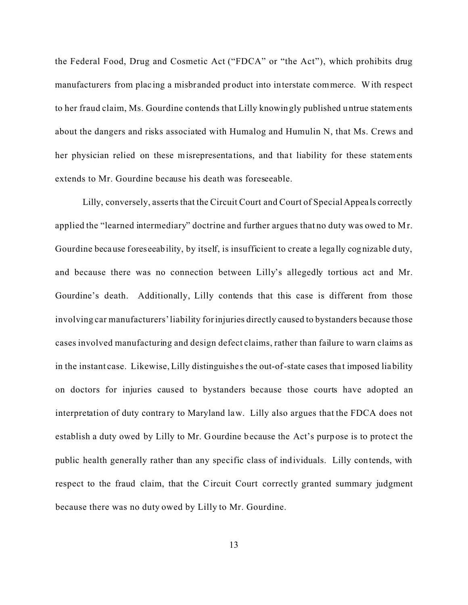the Federal Food, Drug and Cosmetic Act ("FDCA" or "the Act"), which prohibits drug manufacturers from placing a misbranded product into interstate commerce. With respect to her fraud claim, Ms. Gourdine contends that Lilly knowingly published untrue statements about the dangers and risks associated with Humalog and Humulin N, that Ms. Crews and her physician relied on these misrepresentations, and that liability for these statements extends to Mr. Gourdine because his death was foreseeable.

Lilly, conversely, asserts that the Circuit Court and Court of Special Appeals correctly applied the "learned intermediary" doctrine and further argues that no duty was owed to Mr. Gourdine because foreseeability, by itself, is insufficient to create a legally cognizable duty, and because there was no connection between Lilly's allegedly tortious act and Mr. Gourdine's death. Additionally, Lilly contends that this case is different from those involving car manufacturers' liability for injuries directly caused to bystanders because those cases involved manufacturing and design defect claims, rather than failure to warn claims as in the instant case. Likewise, Lilly distinguishes the out-of-state cases tha t imposed liability on doctors for injuries caused to bystanders because those courts have adopted an interpretation of duty contrary to Maryland law. Lilly also argues that the FDCA does not establish a duty owed by Lilly to Mr. Gourdine because the Act's purpose is to protect the public health generally rather than any specific class of individuals. Lilly contends, with respect to the fraud claim, that the Circuit Court correctly granted summary judgment because there was no duty owed by Lilly to Mr. Gourdine.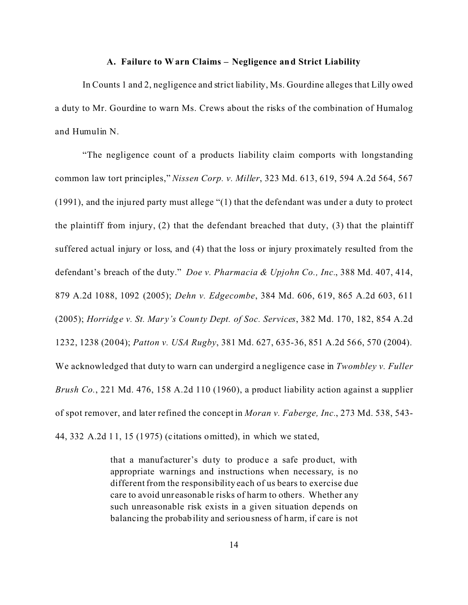#### **A. Failure to Warn Claims – Negligence and Strict Liability**

In Counts 1 and 2, negligence and strict liability, Ms. Gourdine alleges that Lilly owed a duty to Mr. Gourdine to warn Ms. Crews about the risks of the combination of Humalog and Humulin N.

"The negligence count of a products liability claim comports with longstanding common law tort principles," *Nissen Corp. v. Miller*, 323 Md. 613, 619, 594 A.2d 564, 567 (1991), and the injured party must allege "(1) that the defendant was under a duty to protect the plaintiff from injury, (2) that the defendant breached that duty, (3) that the plaintiff suffered actual injury or loss, and (4) that the loss or injury proximately resulted from the defendant's breach of the duty." *Doe v. Pharmacia & Upjohn Co., Inc.*, 388 Md. 407, 414, 879 A.2d 1088, 1092 (2005); *Dehn v. Edgecombe*, 384 Md. 606, 619, 865 A.2d 603, 611 (2005); *Horridge v. St. Mar y's County Dept. of Soc. Services*, 382 Md. 170, 182, 854 A.2d 1232, 1238 (2004); *Patton v. USA Rugby*, 381 Md. 627, 635-36, 851 A.2d 566, 570 (2004). We acknowledged that duty to warn can undergird a negligence case in *Twombley v. Fuller Brush Co.*, 221 Md. 476, 158 A.2d 110 (1960), a product liability action against a supplier of spot remover, and later refined the concept in *Moran v. Faberge, Inc.*, 273 Md. 538, 543- 44, 332 A.2d 11, 15 (1975) (citations omitted), in which we stated,

> that a manufacturer's duty to produce a safe product, with appropriate warnings and instructions when necessary, is no different from the responsibility each of us bears to exercise due care to avoid unreasonable risks of harm to others. Whether any such unreasonable risk exists in a given situation depends on balancing the probability and seriousness of harm, if care is not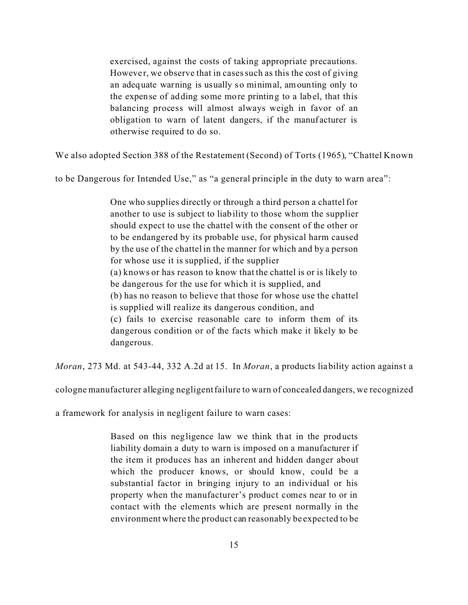exercised, against the costs of taking appropriate precautions. However, we observe that in cases such as this the cost of giving an adequate warning is usually so minimal, amounting only to the expense of adding some more printing to a label, that this balancing process will almost always weigh in favor of an obligation to warn of latent dangers, if the manuf acturer is otherwise required to do so.

We also adopted Section 388 of the Restatement (Second) of Torts (1965), "Chattel Known

to be Dangerous for Intended Use," as "a general principle in the duty to warn area":

One who supplies directly or through a third person a chattel for another to use is subject to liability to those whom the supplier should expect to use the chattel with the consent of the other or to be endangered by its probable use, for physical harm caused by the use of the chattel in the manner for which and by a person for whose use it is supplied, if the supplier (a) knows or has reason to know that the chattel is or is likely to be dangerous for the use for which it is supplied, and (b) has no reason to believe that those for whose use the chattel is supplied will realize its dangerous condition, and (c) fails to exercise reasonable care to inform them of its dangerous condition or of the facts which make it likely to be dangerous.

*Moran*, 273 Md. at 543-44, 332 A.2d at 15. In *Moran*, a products liability action against a

cologne manufacturer alleging negligent failure to warn of concealed dangers, we recognized

a framework for analysis in negligent failure to warn cases:

Based on this negligence law we think that in the products liability domain a duty to warn is imposed on a manufacturer if the item it produces has an inherent and hidden danger about which the producer knows, or should know, could be a substantial factor in bringing injury to an individual or his property when the manufacturer's product comes near to or in contact with the elements which are present normally in the environment where the product can reasonably be expected to be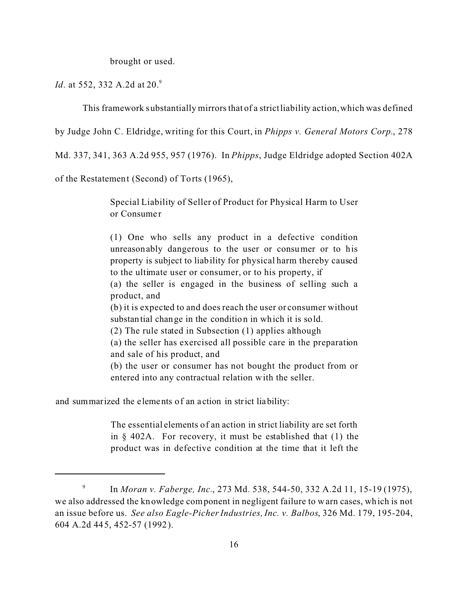brought or used.

*Id.* at 552, 332 A.2d at 20.<sup>9</sup>

This framework substantially mirrorsthat of a strictliability action, which was defined

by Judge John C. Eldridge, writing for this Court, in *Phipps v. General Motors Corp.*, 278

Md. 337, 341, 363 A.2d 955, 957 (1976). In *Phipps*, Judge Eldridge adopted Section 402A

of the Restatement (Second) of Torts (1965),

Special Liability of Seller of Product for Physical Harm to User or Consume r

(1) One who sells any product in a defective condition unreasonably dangerous to the user or consumer or to his property is subject to liability for physical harm thereby caused to the ultimate user or consumer, or to his property, if

(a) the seller is engaged in the business of selling such a product, and

(b) it is expected to and does reach the user or consumer without substantial change in the condition in which it is sold.

(2) The rule stated in Subsection (1) applies although

(a) the seller has exercised all possible care in the preparation and sale of his product, and

(b) the user or consumer has not bought the product from or entered into any contractual relation with the seller.

and summarized the elements of an a ction in strict liability:

The essential elements of an action in strict liability are set forth in § 402A. For recovery, it must be established that (1) the product was in defective condition at the time that it left the

<sup>9</sup> In *Moran v. Faberge, Inc.*, 273 Md. 538, 544-50, 332 A.2d 11, 15-19 (1975), we also addressed the knowledge component in negligent failure to warn cases, which is not an issue before us. *See also Eagle-Picher Industries, Inc. v. Balbos*, 326 Md. 179, 195-204, 604 A.2d 445, 452-57 (1992).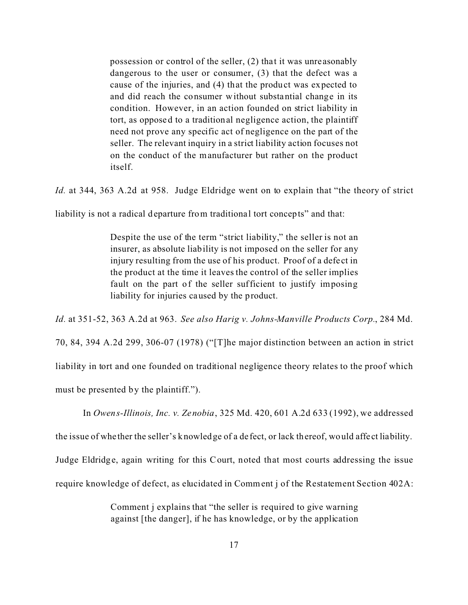possession or control of the seller, (2) that it was unreasonably dangerous to the user or consumer, (3) that the defect was a cause of the injuries, and (4) that the product was expected to and did reach the consumer without substantial change in its condition. However, in an action founded on strict liability in tort, as opposed to a traditional negligence action, the plaintiff need not prove any specific act of negligence on the part of the seller. The relevant inquiry in a strict liability action focuses not on the conduct of the manufacturer but rather on the product itself.

*Id.* at 344, 363 A.2d at 958. Judge Eldridge went on to explain that "the theory of strict

liability is not a radical departure from traditional tort concepts" and that:

Despite the use of the term "strict liability," the seller is not an insurer, as absolute liability is not imposed on the seller for any injury resulting from the use of his product. Proof of a defect in the product at the time it leaves the control of the seller implies fault on the part of the seller sufficient to justify imposing liability for injuries caused by the product.

*Id.* at 351-52, 363 A.2d at 963. *See also Harig v. Johns-Manville Products Corp.*, 284 Md. 70, 84, 394 A.2d 299, 306-07 (1978) ("[T]he major distinction between an action in strict liability in tort and one founded on traditional negligence theory relates to the proof which must be presented by the plaintiff.").

In *Owens-Illinois, Inc. v. Zenobia*, 325 Md. 420, 601 A.2d 633 (1992), we addressed

the issue of whe ther the seller's knowledge of a de fect, or lack thereof, would affe ct liability.

Judge Eldridge, again writing for this Court, noted that most courts addressing the issue

require knowledge of defect, as elucidated in Comment j of the Restatement Section 402A:

Comment j explains that "the seller is required to give warning against [the danger], if he has knowledge, or by the application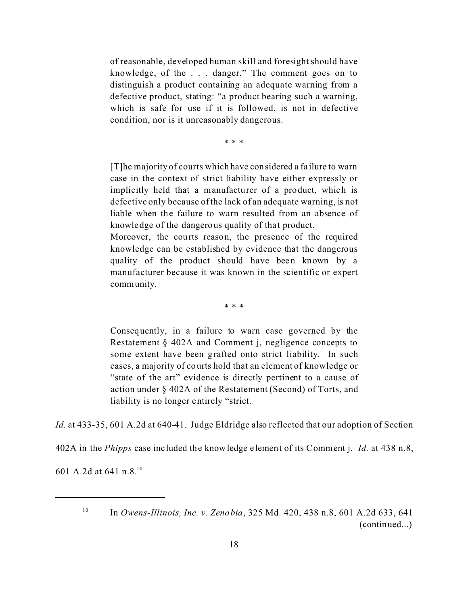of reasonable, developed human skill and foresight should have knowledge, of the . . . danger." The comment goes on to distinguish a product containing an adequate warning from a defective product, stating: "a product bearing such a warning, which is safe for use if it is followed, is not in defective condition, nor is it unreasonably dangerous.

\* \* \*

[T]he majority of courts which have considered a fa ilure to warn case in the context of strict liability have either expressly or implicitly held that a manufacturer of a product, which is defective only because of the lack of an adequate warning, is not liable when the failure to warn resulted from an absence of knowledge of the dangerous quality of that product.

Moreover, the courts reason, the presence of the required knowledge can be established by evidence that the dangerous quality of the product should have been known by a manufacturer because it was known in the scientific or expert community.

\* \* \*

Consequently, in a failure to warn case governed by the Restatement § 402A and Comment j, negligence concepts to some extent have been grafted onto strict liability. In such cases, a majority of courts hold that an element of knowledge or "state of the art" evidence is directly pertinent to a cause of action under § 402A of the Restatement (Second) of Torts, and liability is no longer entirely "strict.

Id. at 433-35, 601 A.2d at 640-41. Judge Eldridge also reflected that our adoption of Section

402A in the *Phipps* case inc luded the knowledge element of its Comment j. *Id.* at 438 n.8,

601 A.2d at 641 n.8.<sup>10</sup>

<sup>10</sup> In *Owens-Illinois, Inc. v. Zenobia*, 325 Md. 420, 438 n.8, 601 A.2d 633, 641 (continued...)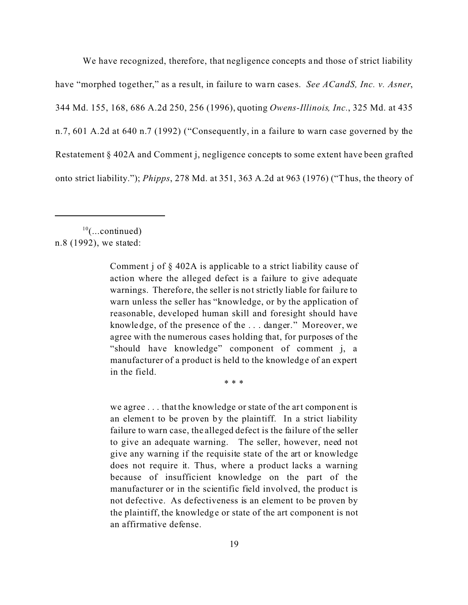We have recognized, therefore, that negligence concepts and those of strict liability have "morphed together," as a result, in failure to wa rn cases. *See ACandS, Inc. v. Asner*, 344 Md. 155, 168, 686 A.2d 250, 256 (1996), quoting *Owens-Illinois, Inc.*, 325 Md. at 435 n.7, 601 A.2d at 640 n.7 (1992) ("Consequently, in a failure to warn case governed by the Restatement § 402A and Comment j, negligence concepts to some extent have been grafted onto strict liability."); *Phipps*, 278 Md. at 351, 363 A.2d at 963 (1976) ("Thus, the theory of

 $10$ (...continued) n.8 (1992), we stated:

> Comment j of § 402A is applicable to a strict liability cause of action where the alleged defect is a failure to give adequate warnings. Therefore, the seller is not strictly liable for failure to warn unless the seller has "knowledge, or by the application of reasonable, developed human skill and foresight should have knowledge, of the presence of the . . . danger." Moreover, we agree with the numerous cases holding that, for purposes of the "should have knowledge" component of comment j, a manufacturer of a product is held to the knowledge of an expert in the field.

> > \* \* \*

we agree . . . that the knowledge or state of the art component is an element to be proven by the plaintiff. In a strict liability failure to warn case, the alleged defect is the failure of the seller to give an adequate warning. The seller, however, need not give any warning if the requisite state of the art or knowledge does not require it. Thus, where a product lacks a warning because of insufficient knowledge on the part of the manufacturer or in the scientific field involved, the product is not defective. As defectiveness is an element to be proven by the plaintiff, the knowledge or state of the art component is not an affirmative defense.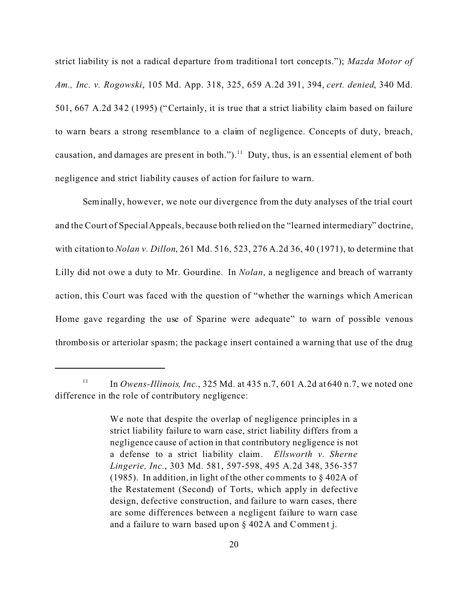strict liability is not a radical departure from traditional tort concepts."); *Mazda Motor of Am., Inc. v. Rogowski*, 105 Md. App. 318, 325, 659 A.2d 391, 394, *cert. denied*, 340 Md. 501, 667 A.2d 342 (1995) ("Certainly, it is true that a strict liability claim based on failure to warn bears a strong resemblance to a claim of negligence. Concepts of duty, breach, causation, and damages are present in both.").<sup>11</sup> Duty, thus, is an essential element of both negligence and strict liability causes of action for failure to warn.

Seminally, however, we note our divergence from the duty analyses of the trial court and the Court of Special Appeals, because both relied on the "learned intermediary" doctrine, with citation to *Nolan v. Dillon*, 261 Md. 516, 523, 276 A.2d 36, 40 (1971), to determine that Lilly did not owe a duty to Mr. Gourdine. In *Nolan*, a negligence and breach of warranty action, this Court was faced with the question of "whether the warnings which American Home gave regarding the use of Sparine were adequate" to warn of possible venous thrombosis or arteriolar spasm; the package insert contained a warning that use of the drug

<sup>&</sup>lt;sup>11</sup> In *Owens-Illinois, Inc.*, 325 Md. at 435 n.7, 601 A.2d at 640 n.7, we noted one difference in the role of contributory negligence:

We note that despite the overlap of negligence principles in a strict liability failure to warn case, strict liability differs from a negligence cause of action in that contributory negligence is not a defense to a strict liability claim. *Ellsworth v. Sherne Lingerie, Inc.*, 303 Md. 581, 597-598, 495 A.2d 348, 356-357 (1985). In addition, in light of the other comments to § 402A of the Restatement (Second) of Torts, which apply in defective design, defective construction, and failure to warn cases, there are some differences between a negligent failure to warn case and a failure to warn based upon § 402A and Comment j.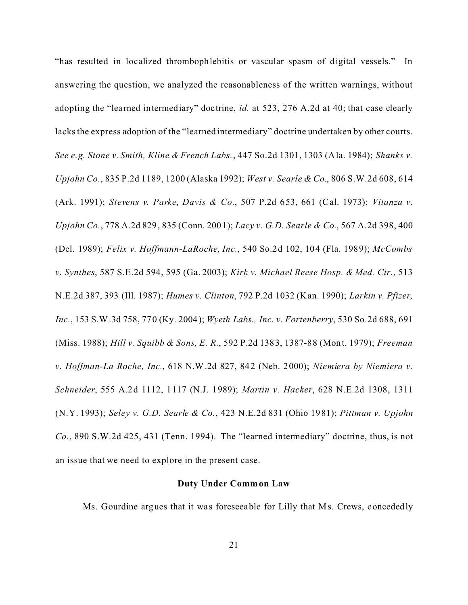"has resulted in localized thrombophlebitis or vascular spasm of digital vessels." In answering the question, we analyzed the reasonableness of the written warnings, without adopting the "learned intermediary" doctrine, *id.* at 523, 276 A.2d at 40; that case clearly lacks the express adoption of the "learned intermediary" doctrine undertaken by other courts. *See e.g. Stone v. Smith, Kline & French Labs.*, 447 So.2d 1301, 1303 (Ala. 1984); *Shanks v. Upjohn Co.*, 835 P.2d 1189, 1200 (Alaska 1992); *West v. Searle & Co.*, 806 S.W.2d 608, 614 (Ark. 1991); *Stevens v. Parke, Davis & Co.*, 507 P.2d 653, 661 (Cal. 1973); *Vitanza v. Upjohn Co.*, 778 A.2d 829, 835 (Conn. 2001); *Lacy v. G.D. Searle & Co.*, 567 A.2d 398, 400 (Del. 1989); *Felix v. Hoffmann-LaRoche, Inc.*, 540 So.2d 102, 104 (Fla. 1989); *McCombs v. Synthes*, 587 S.E.2d 594, 595 (Ga. 2003); *Kirk v. Michael Reese Hosp. & Med. Ctr.*, 513 N.E.2d 387, 393 (Ill. 1987); *Humes v. Clinton*, 792 P.2d 1032 (Kan. 1990); *Larkin v. Pfizer, Inc.*, 153 S.W.3d 758, 770 (Ky. 2004); *Wyeth Labs., Inc. v. Fortenberry*, 530 So.2d 688, 691 (Miss. 1988); *Hill v. Squibb & Sons, E. R.*, 592 P.2d 1383, 1387-88 (Mont. 1979); *Freeman v. Hoffman-La Roche, Inc.*, 618 N.W.2d 827, 842 (Neb. 2000); *Niemiera by Niemiera v. Schneider*, 555 A.2d 1112, 1117 (N.J. 1989); *Martin v. Hacker*, 628 N.E.2d 1308, 1311 (N.Y. 1993); *Seley v. G.D. Searle & Co.*, 423 N.E.2d 831 (Ohio 1981); *Pittman v. Upjohn Co.*, 890 S.W.2d 425, 431 (Tenn. 1994). The "learned intermediary" doctrine, thus, is not an issue that we need to explore in the present case.

#### **Duty Under Common Law**

Ms. Gourdine argues that it was foreseeable for Lilly that Ms. Crews, concededly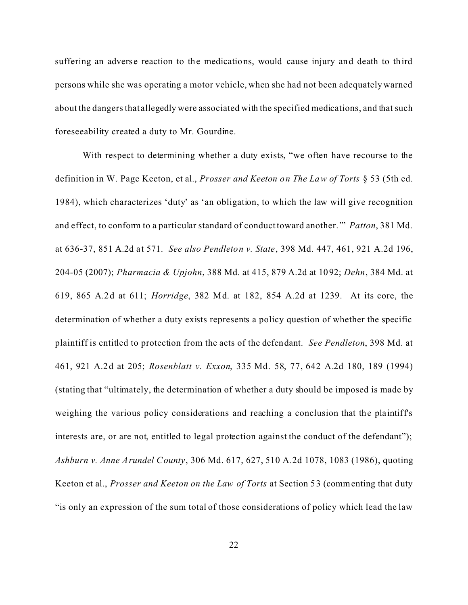suffering an adverse reaction to the medications, would cause injury and death to third persons while she was operating a motor vehicle, when she had not been adequately warned about the dangers that allegedly were associated with the specified medications, and that such foreseeability created a duty to Mr. Gourdine.

With respect to determining whether a duty exists, "we often have recourse to the definition in W. Page Keeton, et al., *Prosser and Keeton on The Law of Torts* § 53 (5th ed. 1984), which characterizes 'duty' as 'an obligation, to which the law will give recognition and effect, to conform to a particular standard of conduct toward another.'" *Patton*, 381 Md. at 636-37, 851 A.2d a t 571. *See also Pendleton v. State*, 398 Md. 447, 461, 921 A.2d 196, 204-05 (2007); *Pharmacia & Upjohn*, 388 Md. at 415, 879 A.2d at 1092; *Dehn*, 384 Md. at 619, 865 A.2d at 611; *Horridge*, 382 Md. at 182, 854 A.2d at 1239. At its core, the determination of whether a duty exists represents a policy question of whether the specific plaintiff is entitled to protection from the acts of the defendant. *See Pendleton*, 398 Md. at 461, 921 A.2d at 205; *Rosenblatt v. Exxon*, 335 Md. 58, 77, 642 A.2d 180, 189 (1994) (stating that "ultimately, the determination of whether a duty should be imposed is made by weighing the various policy considerations and reaching a conclusion that the plaintiff's interests are, or are not, entitled to legal protection against the conduct of the defendant"); *Ashburn v. Anne Arundel County*, 306 Md. 617, 627, 510 A.2d 1078, 1083 (1986), quoting Keeton et al., *Prosser and Keeton on the Law of Torts* at Section 53 (commenting that duty "is only an expression of the sum total of those considerations of policy which lead the law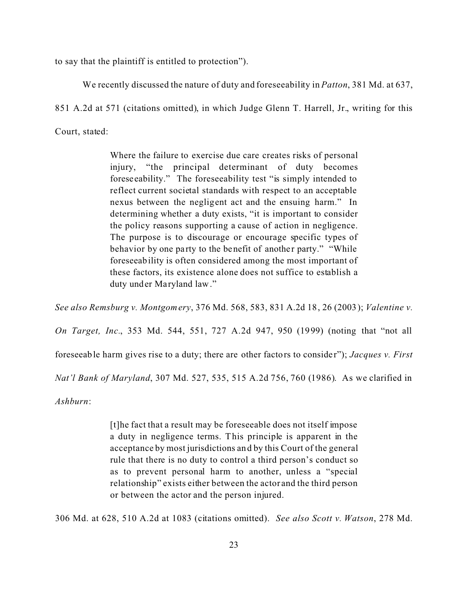to say that the plaintiff is entitled to protection").

We recently discussed the nature of duty and foreseeability in *Patton*, 381 Md. at 637,

851 A.2d at 571 (citations omitted), in which Judge Glenn T. Harrell, Jr., writing for this

Court, stated:

Where the failure to exercise due care creates risks of personal injury, "the principal determinant of duty becomes foreseeability." The foreseeability test "is simply intended to reflect current societal standards with respect to an acceptable nexus between the negligent act and the ensuing harm." In determining whether a duty exists, "it is important to consider the policy reasons supporting a cause of action in negligence. The purpose is to discourage or encourage specific types of behavior by one party to the benefit of another party." "While foreseeability is often considered among the most important of these factors, its existence alone does not suffice to establish a duty under Maryland law."

*See also Remsburg v. Montgomery*, 376 Md. 568, 583, 831 A.2d 18, 26 (2003); *Valentine v.*

*On Target, Inc.*, 353 Md. 544, 551, 727 A.2d 947, 950 (1999) (noting that "not all

foreseeable harm gives rise to a duty; there are other factors to conside r"); *Jacques v. First*

*Nat'l Bank of Maryland*, 307 Md. 527, 535, 515 A.2d 756, 760 (1986). As we clarified in

*Ashburn*:

[t]he fact that a result may be foreseeable does not itself impose a duty in negligence terms. This principle is apparent in the acceptance by most jurisdictions and by this Court of the general rule that there is no duty to control a third person's conduct so as to prevent personal harm to another, unless a "special relationship" exists either between the actor and the third person or between the actor and the person injured.

306 Md. at 628, 510 A.2d at 1083 (citations omitted). *See also Scott v. Watson*, 278 Md.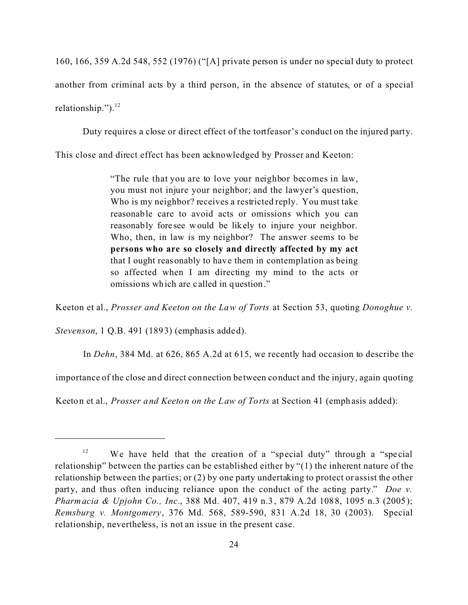160, 166, 359 A.2d 548, 552 (1976) ("[A] private person is under no special duty to protect another from criminal acts by a third person, in the absence of statutes, or of a special relationship."). $^{12}$ 

Duty requires a close or direct effect of the tortfeasor's conduct on the injured party.

This close and direct effect has been acknowledged by Prosser and Keeton:

"The rule that you are to love your neighbor becomes in law, you must not injure your neighbor; and the lawyer's question, Who is my neighbor? receives a restricted reply. You must take reasonable care to avoid acts or omissions which you can reasonably foresee would be likely to injure your neighbor. Who, then, in law is my neighbor? The answer seems to be **persons who are so closely and directly affected by my act** that I ought reasonably to have them in contemplation as being so affected when I am directing my mind to the acts or omissions which are c alled in question."

Keeton et al., *Prosser and Keeton on the Law of Torts* at Section 53, quoting *Donoghue v.*

*Stevenson*, 1 Q.B. 491 (1893) (emphasis added).

In *Dehn*, 384 Md. at 626, 865 A.2d at 615, we recently had occasion to describe the

importance of the close and direct connection be tween conduct and the injury, again quoting

Keeton et al., *Prosser and Keeton on the Law of Torts* at Section 41 (emphasis added):

<sup>&</sup>lt;sup>12</sup> We have held that the creation of a "special duty" through a "special relationship" between the parties can be established either by "(1) the inherent nature of the relationship between the parties; or (2) by one party undertaking to protect or assist the other party, and thus often inducing reliance upon the conduct of the acting party." *Doe v. Pharmacia & Upjohn Co., Inc.*, 388 Md. 407, 419 n.3 , 879 A.2d 1088, 1095 n.3 (2005); *Remsburg v. Montgomery*, 376 Md. 568, 589-590, 831 A.2d 18, 30 (2003). Special relationship, nevertheless, is not an issue in the present case.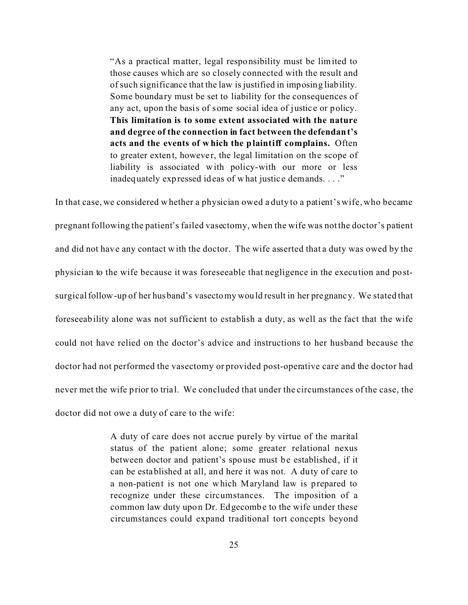"As a practical matter, legal responsibility must be limited to those causes which are so closely connected with the result and of such significance that the law is justified in imposing liability. Some boundary must be set to liability for the consequences of any act, upon the basis of some social idea of justice or policy. **This limitation is to some extent associated with the nature and degree of the connection in fact between the defendant's acts and the events of w hich the plaintiff complains.** Often to greater extent, however, the legal limitation on the scope of liability is associated with policy-with our more or less inadequately expressed ideas of what justice demands. . . ."

In that case, we considered whether a physician owed a duty to a patient's wife, who became pregnant following the patient's failed vasectomy, when the wife was not the doctor's patient and did not have any contact with the doctor. The wife asserted that a duty was owed by the physician to the wife because it was foreseeable that negligence in the execution and postsurgical follow-up of her husband's vasectomy would result in her pregnancy. We stated that foreseeability alone was not sufficient to establish a duty, as well as the fact that the wife could not have relied on the doctor's advice and instructions to her husband because the doctor had not performed the vasectomy or provided post-operative care and the doctor had never met the wife prior to trial. We concluded that under the circumstances of the case, the doctor did not owe a duty of care to the wife:

> A duty of care does not accrue purely by virtue of the marital status of the patient alone; some greater relational nexus between doctor and patient's spouse must be established, if it can be established at all, and here it was not. A duty of care to a non-patient is not one which Maryland law is prepared to recognize under these circumstances. The imposition of a common law duty upon Dr. Edgecombe to the wife under these circumstances could expand traditional tort concepts beyond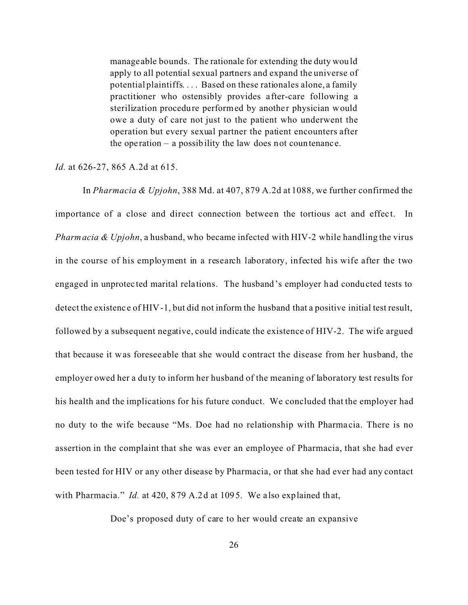manage able bounds. The rationale for extending the duty would apply to all potential sexual partners and expand the universe of potential plaintiffs. . . . Based on these rationales alone, a family practitioner who ostensibly provides a fter-care following a sterilization procedure performed by another physician would owe a duty of care not just to the patient who underwent the operation but every sexual partner the patient encounters after the ope ration – a possibility the law does not countenance.

*Id.* at 626-27, 865 A.2d at 615.

In *Pharmacia & Upjohn*, 388 Md. at 407, 879 A.2d at 1088, we further confirmed the importance of a close and direct connection between the tortious act and effect. In *Pharmacia & Upjohn*, a husband, who became infected with HIV-2 while handling the virus in the course of his employment in a research laboratory, infected his wife after the two engaged in unprotected marital relations. The husband's employer had conducted tests to detect the existence of HIV-1, but did not inform the husband that a positive initial test result, followed by a subsequent negative, could indicate the existence of HIV-2. The wife argued that because it was foreseeable that she would contract the disease from her husband, the employer owed her a duty to inform her husband of the meaning of laboratory test results for his health and the implications for his future conduct. We concluded that the employer had no duty to the wife because "Ms. Doe had no relationship with Pharma cia. There is no assertion in the complaint that she was ever an employee of Pharmacia, that she had ever been tested for HIV or any other disease by Pharmacia, or that she had ever had any contact with Pharmacia." *Id.* at 420, 879 A.2d at 1095. We also explained that,

Doe's proposed duty of care to her would create an expansive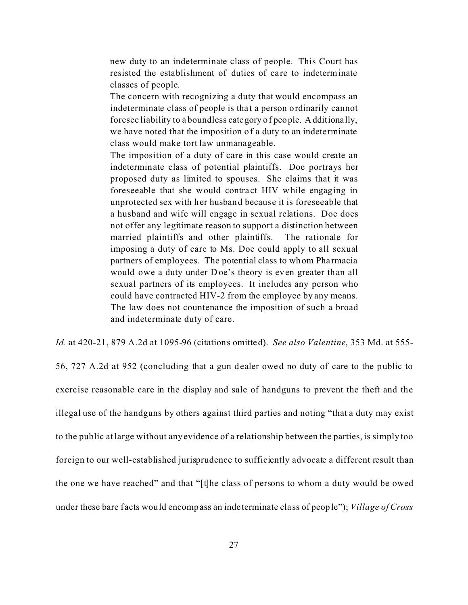new duty to an indeterminate class of people. This Court has resisted the establishment of duties of care to indeterminate classes of people.

The concern with recognizing a duty that would encompass an indeterminate class of people is that a person ordinarily cannot foresee liability to a boundless category of people. Additionally, we have noted that the imposition of a duty to an indeterminate class would make tort law unmanageable.

The imposition of a duty of care in this case would create an indeterminate class of potential plaintiffs. Doe portrays her proposed duty as limited to spouses. She claims that it was foreseeable that she would contract HIV while engaging in unprotected sex with her husband because it is foreseeable that a husband and wife will engage in sexual relations. Doe does not offer any legitimate reason to support a distinction between married plaintiffs and other plaintiffs. The rationale for imposing a duty of care to Ms. Doe could apply to all sexual partners of employees. The potential class to whom Pharmacia would owe a duty under Doe's theory is even greater than all sexual partners of its employees. It includes any person who could have contracted HIV-2 from the employee by any means. The law does not countenance the imposition of such a broad and indeterminate duty of care.

*Id.* at 420-21, 879 A.2d at 1095-96 (citations omitted). *See also Valentine*, 353 Md. at 555-

56, 727 A.2d at 952 (concluding that a gun dealer owed no duty of care to the public to exercise reasonable care in the display and sale of handguns to prevent the theft and the illegal use of the handguns by others against third parties and noting "that a duty may exist to the public at large without any evidence of a relationship between the parties, is simply too foreign to our well-established jurisprudence to sufficiently advocate a different result than the one we have reached" and that "[t]he class of persons to whom a duty would be owed under these bare f acts would encompass an inde terminate cla ss of people"); *Village of Cross*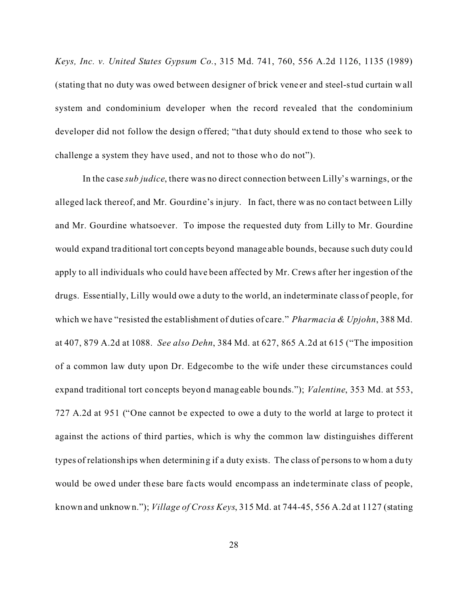*Keys, Inc. v. United States Gypsum Co.*, 315 Md. 741, 760, 556 A.2d 1126, 1135 (1989) (stating that no duty was owed between designer of brick vene er and steel-stud curtain wall system and condominium developer when the record revealed that the condominium developer did not follow the design offered; "that duty should extend to those who seek to challenge a system they have used, and not to those who do not").

In the case *sub judice*, there was no direct connection between Lilly's warnings, or the alleged lack thereof, and Mr. Gourdine's injury. In fact, there was no contact between Lilly and Mr. Gourdine whatsoever. To impose the requested duty from Lilly to Mr. Gourdine would expand traditional tort concepts beyond manage able bounds, because such duty could apply to all individuals who could have been affected by Mr. Crews after her ingestion of the drugs. Essentially, Lilly would owe a duty to the world, an indeterminate class of people, for which we have "resisted the establishment of duties of care." *Pharmacia & Upjohn*, 388 Md. at 407, 879 A.2d at 1088. *See also Dehn*, 384 Md. at 627, 865 A.2d at 615 ("The imposition of a common law duty upon Dr. Edgecombe to the wife under these circumstances could expand traditional tort concepts beyond manageable bounds."); *Valentine*, 353 Md. at 553, 727 A.2d at 951 ("One cannot be expected to owe a duty to the world at large to protect it against the actions of third parties, which is why the common law distinguishes different types of relationships when determining if a duty exists. The class of persons to whom a duty would be owed under these bare fa cts would encompass an inde terminate class of people, known and unknown."); *Village of Cross Keys*, 315 Md. at 744-45, 556 A.2d at 1127 (stating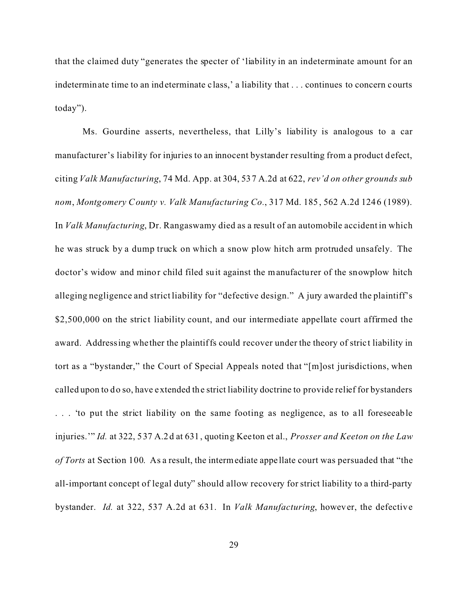that the claimed duty "generates the specter of 'liability in an indeterminate amount for an indeterminate time to an indeterminate c lass,' a liability that . . . continues to concern courts today").

Ms. Gourdine asserts, nevertheless, that Lilly's liability is analogous to a car manufacturer's liability for injuries to an innocent bystander resulting from a product defect, citing *Valk Manufacturing*, 74 Md. App. at 304, 537 A.2d at 622, *rev'd on other grounds sub nom*, *Montgomery County v. Valk Manufacturing Co.*, 317 Md. 185, 562 A.2d 1246 (1989). In *Valk Manufacturing*, Dr. Rangaswamy died as a result of an automobile accident in which he was struck by a dump truck on which a snow plow hitch arm protruded unsafely. The doctor's widow and minor child filed suit against the manufacturer of the snowplow hitch alleging negligence and strict liability for "defective design." A jury awarded the plaintiff's \$2,500,000 on the strict liability count, and our intermediate appellate court affirmed the award. Addressing whe ther the plaintiffs could recover under the theory of strict liability in tort as a "bystander," the Court of Special Appeals noted that "[m]ost jurisdictions, when called upon to do so, have extended the strict liability doctrine to provide relief for bystanders ... 'to put the strict liability on the same footing as negligence, as to all foreseeable injuries.'" *Id.* at 322, 537 A.2d at 631, quoting Keeton et al., *Prosser and Keeton on the Law of Torts* at Section 100. As a result, the intermediate appe llate court was persuaded that "the all-important concept of legal duty" should allow recovery for strict liability to a third-party bystander. *Id.* at 322, 537 A.2d at 631. In *Valk Manufacturing*, however, the defective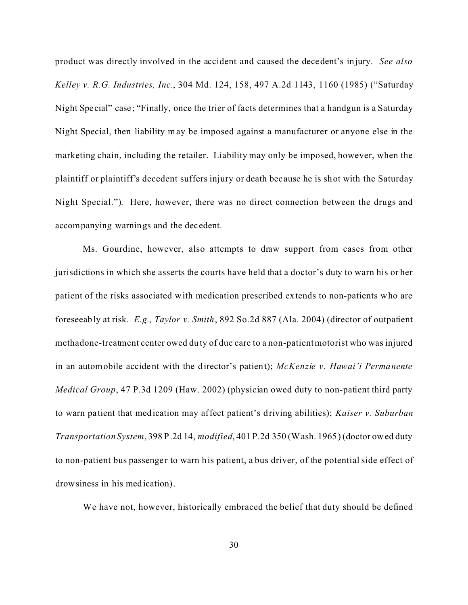product was directly involved in the accident and caused the decedent's injury. *See also Kelley v. R.G. Industries, Inc.*, 304 Md. 124, 158, 497 A.2d 1143, 1160 (1985) ("Saturday Night Special" case; "Finally, once the trier of facts determines that a handgun is a Saturday Night Special, then liability may be imposed against a manufacturer or anyone else in the marketing chain, including the retailer. Liability may only be imposed, however, when the plaintiff or plaintiff's decedent suffers injury or death bec ause he is shot with the Saturday Night Special."). Here, however, there was no direct connection between the drugs and accompanying warnings and the decedent.

Ms. Gourdine, however, also attempts to draw support from cases from other jurisdictions in which she asserts the courts have held that a doctor's duty to warn his or her patient of the risks associated with medication prescribed extends to non-patients who are foreseeably at risk. *E.g., Taylor v. Smith*, 892 So.2d 887 (Ala. 2004) (director of outpatient methadone-treatment center owed duty of due care to a non-patient motorist who was injured in an automobile accident with the director's patient); *McKenzie v. Hawai'i Permanente Medical Group*, 47 P.3d 1209 (Haw. 2002) (physician owed duty to non-patient third party to warn pa tient that medication may affect patient's driving abilities); *Kaiser v. Suburban Transportation System*, 398 P.2d 14, *modified*, 401 P.2d 350 (Wash. 1965) (doctor owed duty to non-patient bus passenger to warn his patient, a bus driver, of the potential side effect of drowsiness in his medication).

We have not, however, historically embraced the belief that duty should be defined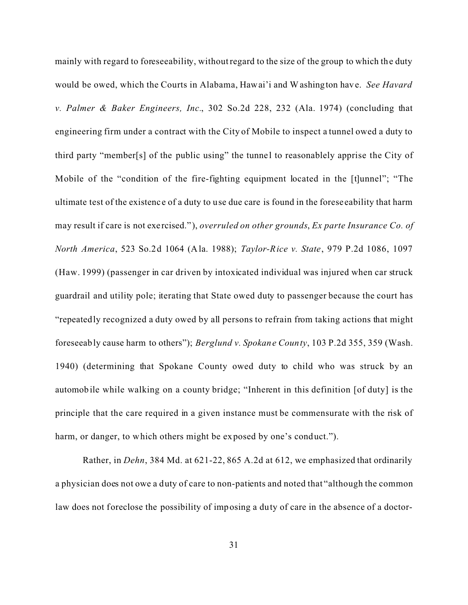mainly with regard to foreseeability, without regard to the size of the group to which the duty would be owed, which the Courts in Alabama, Hawai'i and Washington have. *See Havard v. Palmer & Baker Engineers, Inc.*, 302 So.2d 228, 232 (Ala. 1974) (concluding that engineering firm under a contract with the City of Mobile to inspect a tunnel owed a duty to third party "member[s] of the public using" the tunnel to reasonablely apprise the City of Mobile of the "condition of the fire-fighting equipment located in the [t]unnel"; "The ultimate test of the existenc e of a duty to use due care is found in the forese eability that harm may result if care is not exe rcised."), *overruled on other grounds*, *Ex parte Insurance Co. of North America*, 523 So.2d 1064 (Ala. 1988); *Taylor-Rice v. State*, 979 P.2d 1086, 1097 (Haw. 1999) (passenger in car driven by intoxicated individual was injured when car struck guardrail and utility pole; iterating that State owed duty to passenger because the court has "repeatedly recognized a duty owed by all persons to refrain from taking actions that might foreseeably cause harm to others"); *Berglund v. Spokane County*, 103 P.2d 355, 359 (Wash. 1940) (determining that Spokane County owed duty to child who was struck by an automobile while walking on a county bridge; "Inherent in this definition [of duty] is the principle that the care required in a given instance must be commensurate with the risk of harm, or danger, to which others might be exposed by one's conduct.").

Rather, in *Dehn*, 384 Md. at 621-22, 865 A.2d at 612, we emphasized that ordinarily a physician does not owe a duty of care to non-patients and noted that "although the common law does not foreclose the possibility of imposing a duty of care in the absence of a doctor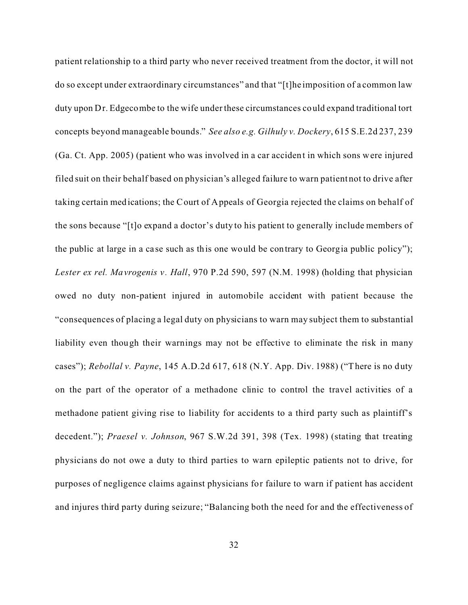patient relationship to a third party who never received treatment from the doctor, it will not do so except under extraordinary circumstances" and that "[t]he imposition of a common law duty upon Dr. Edgecombe to the wife under these circumstances could expand traditional tort concepts beyond manageable bounds." *See also e.g. Gilhuly v. Dockery*, 615 S.E.2d 237, 239 (Ga. Ct. App. 2005) (patient who was involved in a car accident in which sons were injured filed suit on their behalf based on physician's alleged failure to warn patient not to drive after taking certain medications; the Court of Appeals of Georgia rejected the claims on behalf of the sons because "[t]o expand a doctor's duty to his patient to generally include members of the public at large in a case such as this one would be contrary to Georgia public policy"); *Lester ex rel. Mavrogenis v . Hall*, 970 P.2d 590, 597 (N.M. 1998) (holding that physician owed no duty non-patient injured in automobile accident with patient because the "consequences of placing a legal duty on physicians to warn may subject them to substantial liability even though their warnings may not be effective to eliminate the risk in many cases"); *Rebollal v. Payne*, 145 A.D.2d 617, 618 (N.Y. App. Div. 1988) ("There is no duty on the part of the operator of a methadone clinic to control the travel activities of a methadone patient giving rise to liability for accidents to a third party such as plaintiff's decedent."); *Praesel v. Johnson*, 967 S.W.2d 391, 398 (Tex. 1998) (stating that treating physicians do not owe a duty to third parties to warn epileptic patients not to drive, for purposes of negligence claims against physicians for failure to warn if patient has accident and injures third party during seizure; "Balancing both the need for and the effectiveness of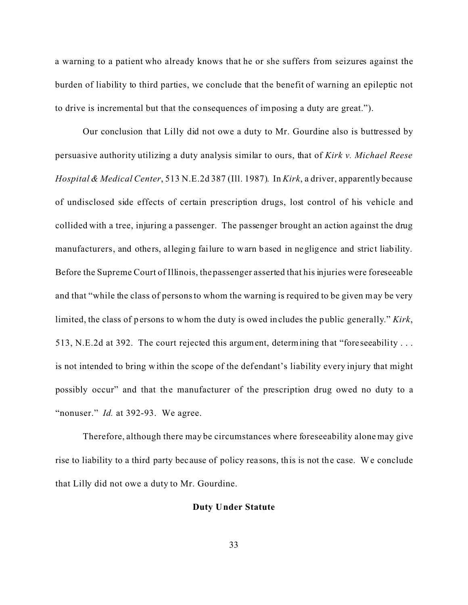a warning to a patient who already knows that he or she suffers from seizures against the burden of liability to third parties, we conclude that the benefit of warning an epileptic not to drive is incremental but that the consequences of imposing a duty are great.").

Our conclusion that Lilly did not owe a duty to Mr. Gourdine also is buttressed by persuasive authority utilizing a duty analysis similar to ours, that of *Kirk v. Michael Reese Hospital & Medical Center*, 513 N.E.2d 387 (Ill. 1987). In *Kirk*, a driver, apparently because of undisclosed side effects of certain prescription drugs, lost control of his vehicle and collided with a tree, injuring a passenger. The passenger brought an action against the drug manufacturers, and others, alleging failure to warn based in negligence and strict liability. Before the Supreme Court of Illinois, the passenger asserted that his injuries were foreseeable and that "while the class of persons to whom the warning is required to be given may be very limited, the class of persons to whom the duty is owed includes the public generally." *Kirk*, 513, N.E.2d at 392.The court rejected this argument, determining that "fore seeability . . . is not intended to bring within the scope of the defendant's liability every injury that might possibly occur" and that the manufacturer of the prescription drug owed no duty to a "nonuser." *Id.* at 392-93. We agree.

Therefore, although there may be circumstances where foreseeability alone may give rise to liability to a third party because of policy reasons, this is not the case. We conclude that Lilly did not owe a duty to Mr. Gourdine.

#### **Duty Under Statute**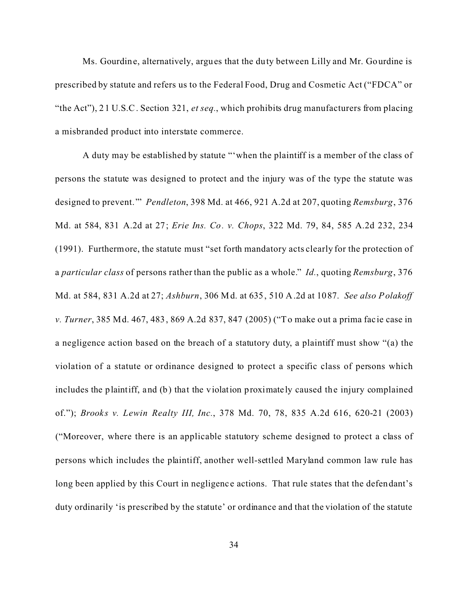Ms. Gourdine, alternatively, argues that the duty between Lilly and Mr. Gourdine is prescribed by statute and refers us to the Federal Food, Drug and Cosmetic Act ("FDCA" or "the Act"), 21 U.S.C. Section 321, *et seq.*, which prohibits drug manufacturers from placing a misbranded product into interstate commerce.

A duty may be established by statute "'when the plaintiff is a member of the class of persons the statute was designed to protect and the injury was of the type the statute was designed to prevent.'" *Pendleton*, 398 Md. at 466, 921 A.2d at 207, quoting *Remsburg*, 376 Md. at 584, 831 A.2d at 27; *Erie Ins. Co. v. Chops*, 322 Md. 79, 84, 585 A.2d 232, 234 (1991). Furthermore, the statute must "set forth mandatory acts clearly for the protection of a *particular class* of persons rather than the public as a whole." *Id.*, quoting *Remsburg*, 376 Md. at 584, 831 A.2d at 27; *Ashburn*, 306 Md. at 635, 510 A.2d at 1087. *See also Polakoff v. Turner*, 385 Md. 467, 483, 869 A.2d 837, 847 (2005) ("To make out a prima fac ie case in a negligence action based on the breach of a statutory duty, a plaintiff must show "(a) the violation of a statute or ordinance designed to protect a specific class of persons which includes the plaintiff, and (b) that the violation proximate ly caused the injury complained of."); *Brook s v. Lewin Realty III, Inc.*, 378 Md. 70, 78, 835 A.2d 616, 620-21 (2003) ("Moreover, where there is an applicable statutory scheme designed to protect a class of persons which includes the plaintiff, another well-settled Maryland common law rule has long been applied by this Court in negligence actions. That rule states that the defendant's duty ordinarily 'is prescribed by the statute' or ordinance and that the violation of the statute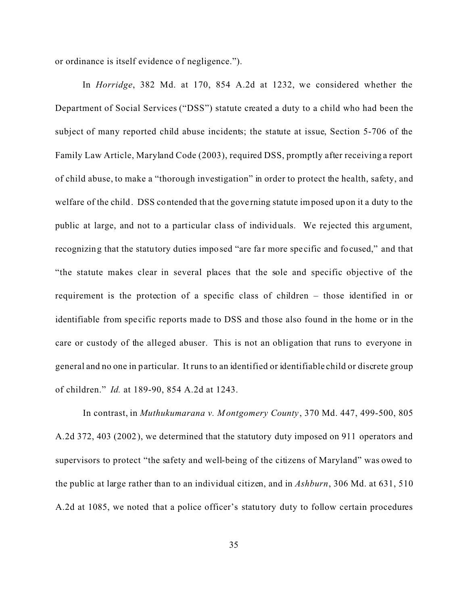or ordinance is itself evidence of negligence.").

In *Horridge*, 382 Md. at 170, 854 A.2d at 1232, we considered whether the Department of Social Services ("DSS") statute created a duty to a child who had been the subject of many reported child abuse incidents; the statute at issue, Section 5-706 of the Family Law Article, Maryland Code (2003), required DSS, promptly after receiving a report of child abuse, to make a "thorough investigation" in order to protect the health, safety, and welfare of the child. DSS contended that the governing statute imposed upon it a duty to the public at large, and not to a particular class of individuals. We re jected this argument, recognizing that the statutory duties imposed "are far more specific and focused," and that "the statute makes clear in several places that the sole and specific objective of the requirement is the protection of a specific class of children – those identified in or identifiable from specific reports made to DSS and those also found in the home or in the care or custody of the alleged abuser. This is not an obligation that runs to everyone in general and no one in particular. It runs to an identified or identifiable child or discrete group of children." *Id.* at 189-90, 854 A.2d at 1243.

In contrast, in *Muthukumarana v. Montgomery County*, 370 Md. 447, 499-500, 805 A.2d 372, 403 (2002), we determined that the statutory duty imposed on 911 operators and supervisors to protect "the safety and well-being of the citizens of Maryland" was owed to the public at large rather than to an individual citizen, and in *Ashburn*, 306 Md. at 631, 510 A.2d at 1085, we noted that a police officer's statutory duty to follow certain procedures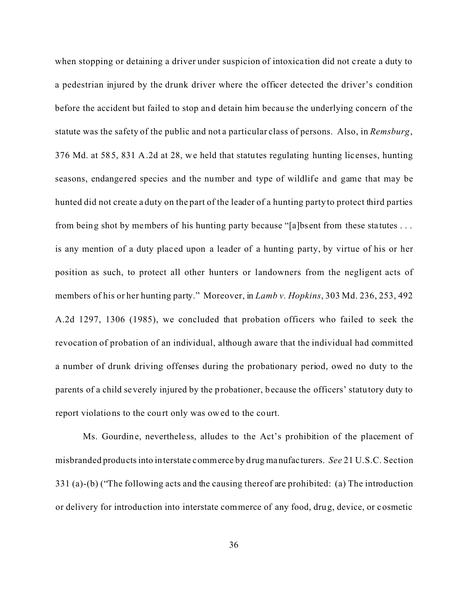when stopping or detaining a driver under suspicion of intoxication did not create a duty to a pedestrian injured by the drunk driver where the officer detected the driver's condition before the accident but failed to stop and detain him because the underlying concern of the statute was the safety of the public and not a particular class of persons. Also, in *Remsburg*, 376 Md. at 585, 831 A.2d at 28, we held that statutes regulating hunting licenses, hunting seasons, endangered species and the number and type of wildlife and game that may be hunted did not create a duty on the part of the leader of a hunting party to protect third parties from being shot by members of his hunting party because "[a]bsent from these sta tutes . . . is any mention of a duty placed upon a leader of a hunting party, by virtue of his or her position as such, to protect all other hunters or landowners from the negligent acts of members of his or her hunting party." Moreover, in *Lamb v. Hopkins*, 303 Md. 236, 253, 492 A.2d 1297, 1306 (1985), we concluded that probation officers who failed to seek the revocation of probation of an individual, although aware that the individual had committed a number of drunk driving offenses during the probationary period, owed no duty to the parents of a child severely injured by the probationer, because the officers' statutory duty to report violations to the court only was owed to the court.

Ms. Gourdine, nevertheless, alludes to the Act's prohibition of the placement of misbranded products into interstate commerce by drug manufacturers. *See* 21 U.S.C. Section 331 (a)-(b) ("The following acts and the causing thereof are prohibited: (a) The introduction or delivery for introduction into interstate commerce of any food, drug, device, or cosmetic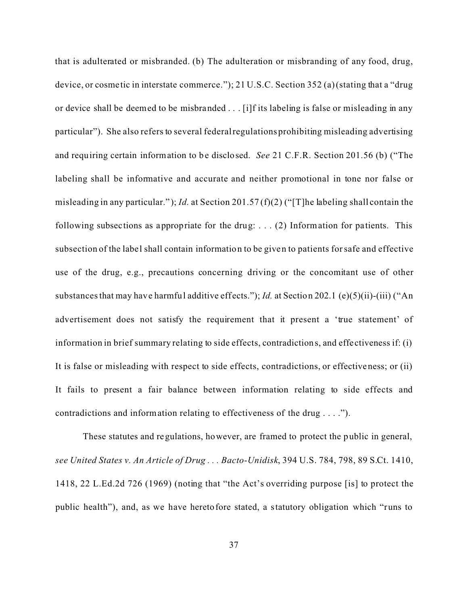that is adulterated or misbranded. (b) The adulteration or misbranding of any food, drug, device, or cosme tic in interstate commerce."); 21 U.S.C. Section 352 (a) (stating that a "drug or device shall be deemed to be misbranded . . . [i]f its labeling is false or misleading in any particular"). She also refers to several federal regulations prohibiting misleading advertising and requiring certain information to be disclosed. *See* 21 C.F.R. Section 201.56 (b) ("The labeling shall be informative and accurate and neither promotional in tone nor false or misleading in any particular." ); *Id.* at Section 201.57 (f)(2) ("[T]he labeling shall contain the following subsections as appropriate for the drug:  $\dots$  (2) Information for patients. This subsection of the label shall contain information to be given to patients for safe and effective use of the drug, e.g., precautions concerning driving or the concomitant use of other substances that may have harmful additive effects."); *Id.* at Section 202.1 (e)(5)(ii)-(iii) ("An advertisement does not satisfy the requirement that it present a 'true statement' of information in brief summary relating to side effects, contradictions, and effe ctiveness if: (i) It is false or misleading with respect to side effects, contradictions, or effectiveness; or (ii) It fails to present a fair balance between information relating to side effects and contradictions and information relating to effectiveness of the drug . . . .").

These statutes and regulations, however, are framed to protect the public in general, *see United States v. An Article of Drug . . . Bacto-Unidisk*, 394 U.S. 784, 798, 89 S.Ct. 1410, 1418, 22 L.Ed.2d 726 (1969) (noting that "the Act's overriding purpose [is] to protect the public health"), and, as we have heretofore stated, a statutory obligation which "runs to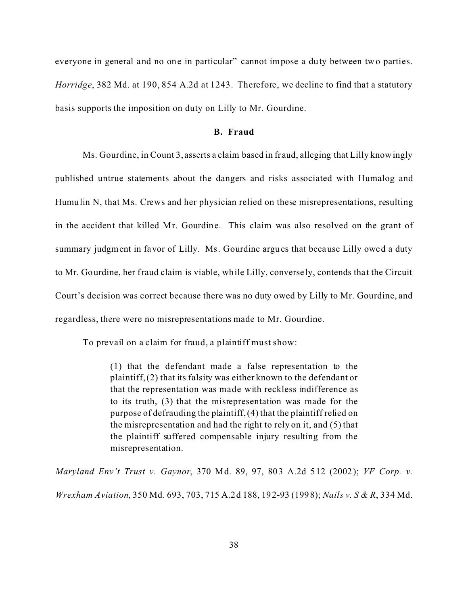everyone in general and no one in particular" cannot impose a duty between two parties. *Horridge*, 382 Md. at 190, 854 A.2d at 1243. Therefore, we decline to find that a statutory basis supports the imposition on duty on Lilly to Mr. Gourdine.

#### **B. Fraud**

Ms. Gourdine, in Count 3, asserts a claim based in fraud, alleging that Lilly knowingly published untrue statements about the dangers and risks associated with Humalog and Humulin N, that Ms. Crews and her physician relied on these misrepresentations, resulting in the accident that killed Mr. Gourdine. This claim was also resolved on the grant of summary judgment in favor of Lilly. Ms. Gourdine argues that because Lilly owed a duty to Mr. Gourdine, her fraud claim is viable, while Lilly, conversely, contends that the Circuit Court's decision was correct because there was no duty owed by Lilly to Mr. Gourdine, and regardless, there were no misrepresentations made to Mr. Gourdine.

To prevail on a claim for fraud, a plaintiff must show:

(1) that the defendant made a false representation to the plaintiff, (2) that its falsity was either known to the defendant or that the representation was made with reckless indifference as to its truth, (3) that the misrepresentation was made for the purpose of defrauding the plaintiff, (4) that the plaintiff relied on the misrepresentation and had the right to rely on it, and (5) that the plaintiff suffered compensable injury resulting from the misrepresentation.

*Maryland Env't Trust v. Gaynor*, 370 Md. 89, 97, 803 A.2d 512 (2002); *VF Corp. v. Wrexham Aviation*, 350 Md. 693, 703, 715 A.2d 188, 192-93 (1998); *Nails v. S & R*, 334 Md.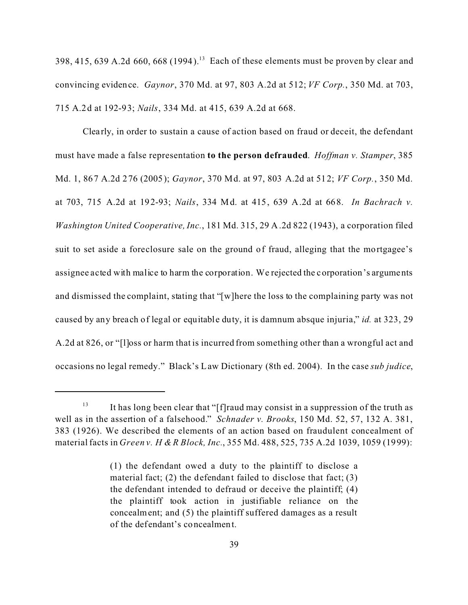398, 415, 639 A.2d 660, 668 (1994).<sup>13</sup> Each of these elements must be proven by clear and convincing evidence. *Gaynor*, 370 Md. at 97, 803 A.2d at 512; *VF Corp.*, 350 Md. at 703, 715 A.2d at 192-93; *Nails*, 334 Md. at 415, 639 A.2d at 668.

Clearly, in order to sustain a cause of action based on fraud or deceit, the defendant must have made a false representation **to the person defrauded**. *Hoffman v. Stamper*, 385 Md. 1, 867 A.2d 276 (2005); *Gaynor*, 370 Md. at 97, 803 A.2d at 512; *VF Corp.*, 350 Md. at 703, 715 A.2d at 192-93; *Nails*, 334 Md. at 415, 639 A.2d at 668. *In Bachrach v. Washington United Cooperative, Inc.*, 181 Md. 315, 29 A.2d 822 (1943), a corporation filed suit to set aside a foreclosure sale on the ground of fraud, alleging that the mortgagee's assignee acted with malice to harm the corporation. We rejected the corporation's arguments and dismissed the complaint, stating that "[w]here the loss to the complaining party was not caused by any breach of legal or equitable duty, it is damnum absque injuria," *id.* at 323, 29 A.2d at 826, or "[l]oss or harm that is incurred from something other than a wrongful act and occasions no legal remedy." Black's Law Dictionary (8th ed. 2004). In the case *sub judice*,

<sup>&</sup>lt;sup>13</sup> It has long been clear that "[f]raud may consist in a suppression of the truth as well as in the assertion of a falsehood." *Schnader v. Brooks*, 150 Md. 52, 57, 132 A. 381, 383 (1926). We described the elements of an action based on fraudulent concealment of material facts in *Green v. H & R Block, Inc.*, 355 Md. 488, 525, 735 A.2d 1039, 1059 (1999):

<sup>(1)</sup> the defendant owed a duty to the plaintiff to disclose a material fact; (2) the defendant failed to disclose that fact; (3) the defendant intended to defraud or deceive the plaintiff; (4) the plaintiff took action in justifiable reliance on the concealment; and (5) the plaintiff suffered damages as a result of the def endant's concealment.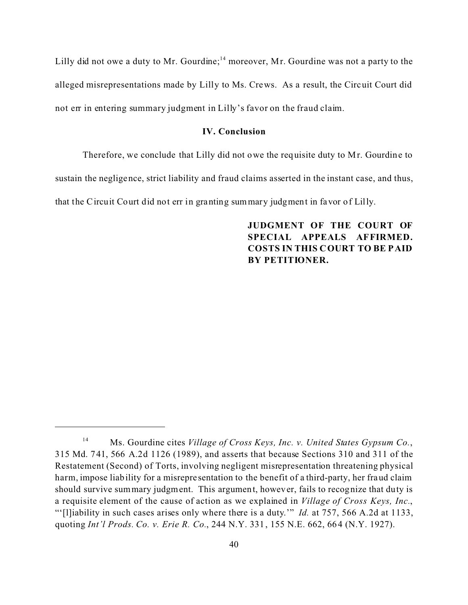Lilly did not owe a duty to Mr. Gourdine;<sup>14</sup> moreover, Mr. Gourdine was not a party to the alleged misrepresentations made by Lilly to Ms. Crews. As a result, the Circuit Court did not err in entering summary judgment in Lilly's favor on the fraud claim.

### **IV. Conclusion**

Therefore, we conclude that Lilly did not owe the requisite duty to Mr. Gourdine to sustain the negligence, strict liability and fraud claims asserted in the instant case, and thus, that the Circuit Court did not err in granting summary judgment in favor of Lilly.

> **JUDGMENT OF THE COURT OF SPECIAL APPEALS AFFIRMED. COSTS IN THIS COURT TO BE PAID BY PETITIONER.**

<sup>14</sup> Ms. Gourdine cites *Village of Cross Keys, Inc. v. United States Gypsum Co.*, 315 Md. 741, 566 A.2d 1126 (1989), and asserts that because Sections 310 and 311 of the Restatement (Second) of Torts, involving negligent misrepresentation threatening physical harm, impose liability for a misrepresentation to the benefit of a third-party, her fraud claim should survive summary judgment. This argument, however, fails to recognize that duty is a requisite element of the cause of action as we explained in *Village of Cross Keys, Inc.*, "'[l]iability in such cases arises only where there is a duty.'" *Id.* at 757, 566 A.2d at 1133, quoting *Int'l Prods. Co. v. Erie R. Co.*, 244 N.Y. 331, 155 N.E. 662, 664 (N.Y. 1927).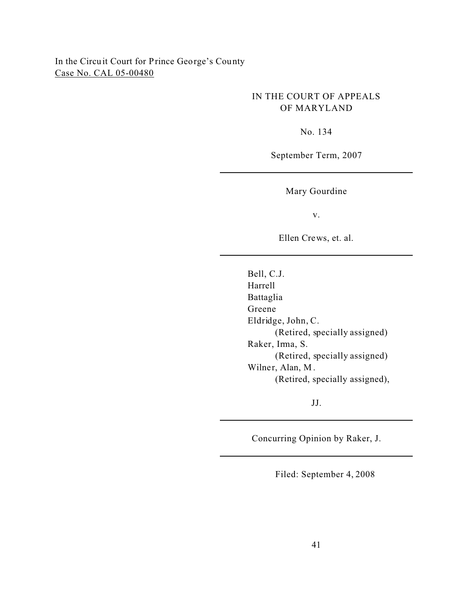# In the Circuit Court for Prince George's County Case No. CAL 05-00480

## IN THE COURT OF APPEALS OF MARYLAND

No. 134

September Term, 2007

Mary Gourdine

v.

Ellen Crews, et. al.

Bell, C.J. Harrell Battaglia Greene Eldridge, John, C. (Retired, specially assigned) Raker, Irma, S. (Retired, specially assigned) Wilner, Alan, M . (Retired, specially assigned),

JJ.

Concurring Opinion by Raker, J.

Filed: September 4, 2008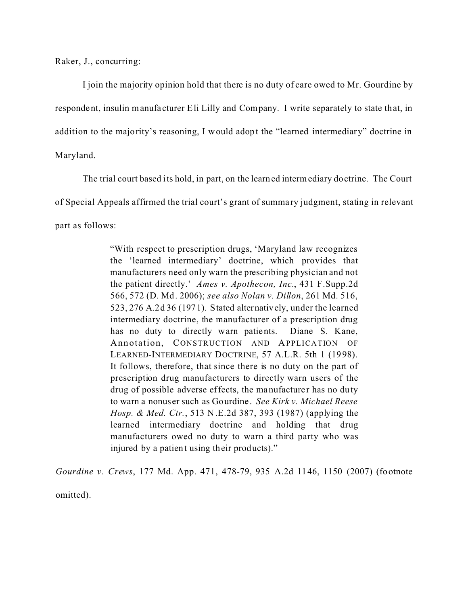Raker, J., concurring:

I join the majority opinion hold that there is no duty of care owed to Mr. Gourdine by respondent, insulin manufacturer Eli Lilly and Company. I write separately to state that, in addition to the majority's reasoning, I would adopt the "learned intermediary" doctrine in Maryland.

The trial court based its hold, in part, on the learned intermediary doctrine. The Court of Special Appeals affirmed the trial court's grant of summa ry judgment, stating in relevant part as follows:

> "With respect to prescription drugs, 'Maryland law recognizes the 'learned intermediary' doctrine, which provides that manufacturers need only warn the prescribing physician and not the patient directly.' *Ames v. Apothecon, Inc.*, 431 F.Supp.2d 566, 572 (D. Md. 2006); *see also Nolan v. Dillon*, 261 Md. 516, 523, 276 A.2d 36 (1971). Stated alternatively, under the learned intermediary doctrine, the manufacturer of a prescription drug has no duty to directly warn patients. Diane S. Kane, Annotation, CONSTRUCTION AND APPLICATION OF LEARNED-INTERMEDIARY DOCTRINE, 57 A.L.R. 5th 1 (1998). It follows, therefore, that since there is no duty on the part of prescription drug manufacturers to directly warn users of the drug of possible adverse effects, the manufacturer has no duty to warn a nonus er such as Gourdine. *See Kirk v. Michael Reese Hosp. & Med. Ctr.*, 513 N.E.2d 387, 393 (1987) (applying the learned intermediary doctrine and holding that drug manufacturers owed no duty to warn a third party who was injured by a patient using their products)."

*Gourdine v. Crews*, 177 Md. App. 471, 478-79, 935 A.2d 1146, 1150 (2007) (footnote omitted).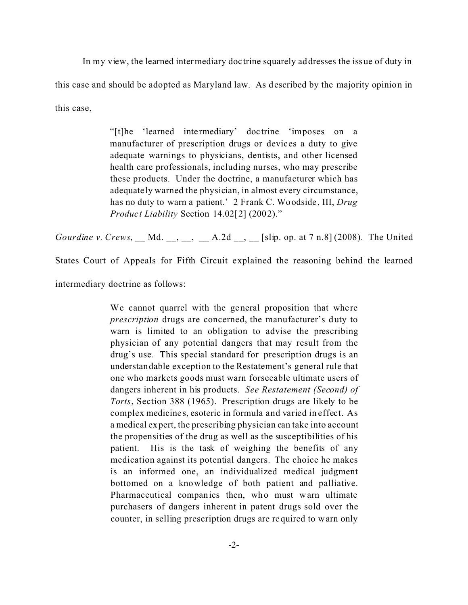In my view, the learned intermediary doc trine squarely addresses the issue of duty in this case and should be adopted as Maryland law. As described by the majority opinion in this case,

> "[t]he 'learned intermediary' doc trine 'imposes on a manufacturer of prescription drugs or devices a duty to give adequate warnings to physicians, dentists, and other licensed health care professionals, including nurses, who may prescribe these products. Under the doctrine, a manufacturer which has adequate ly warned the physician, in almost every circumstance, has no duty to warn a patient.' 2 Frank C. Woodside, III, *Drug Product Liability* Section 14.02[2] (2002)."

*Gourdine v. Crews*, \_\_ Md. \_\_, \_\_, \_\_ A.2d \_\_, \_\_ [slip. op. at 7 n.8] (2008). The United

States Court of Appeals for Fifth Circuit explained the reasoning behind the learned

intermediary doctrine as follows:

We cannot quarrel with the general proposition that where *prescription* drugs are concerned, the manufacturer's duty to warn is limited to an obligation to advise the prescribing physician of any potential dangers that may result from the drug's use. This special standard for prescription drugs is an understandable exception to the Restatement's general rule that one who markets goods must warn forseeable ultimate users of dangers inherent in his products. *See Restatement (Second) of Torts*, Section 388 (1965). Prescription drugs are likely to be complex medicines, esoteric in formula and varied in effect. As a medical expert, the prescribing physician can take into account the propensities of the drug as well as the susceptibilities of his patient. His is the task of weighing the benefits of any medication against its potential dangers. The choice he makes is an informed one, an individualized medical judgment bottomed on a knowledge of both patient and palliative. Pharmaceutical companies then, who must warn ultimate purchasers of dangers inherent in patent drugs sold over the counter, in selling prescription drugs are required to warn only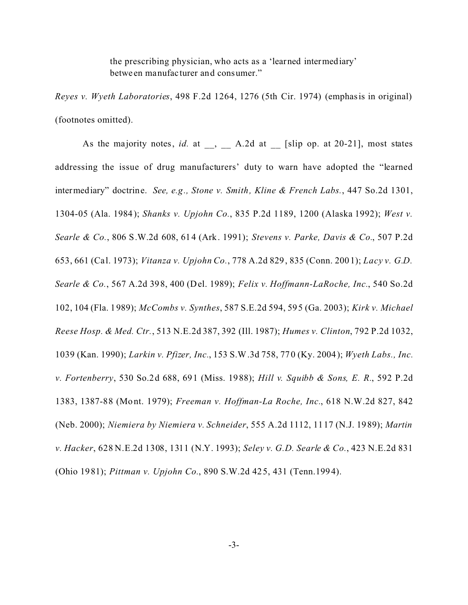the prescribing physician, who acts as a 'learned intermediary' betwe en manufacturer and consumer."

*Reyes v. Wyeth Laboratories*, 498 F.2d 1264, 1276 (5th Cir. 1974) (emphasis in original) (footnotes omitted).

As the majority notes, *id.* at , A.2d at [slip op. at 20-21], most states addressing the issue of drug manufacturers' duty to warn have adopted the "learned intermediary" doctrine. *See, e.g., Stone v. Smith, Kline & French Labs.*, 447 So.2d 1301, 1304-05 (Ala. 1984); *Shanks v. Upjohn Co.*, 835 P.2d 1189, 1200 (Alaska 1992); *West v. Searle & Co.*, 806 S.W.2d 608, 614 (Ark. 1991); *Stevens v. Parke, Davis & Co.*, 507 P.2d 653, 661 (Cal. 1973); *Vitanza v. Upjohn Co.*, 778 A.2d 829, 835 (Conn. 2001); *Lacy v. G.D. Searle & Co.*, 567 A.2d 398, 400 (Del. 1989); *Felix v. Hoffmann-LaRoche, Inc.*, 540 So.2d 102, 104 (Fla. 1989); *McCombs v. Synthes*, 587 S.E.2d 594, 595 (Ga. 2003); *Kirk v. Michael Reese Hosp. & Med. Ctr.*, 513 N.E.2d 387, 392 (Ill. 1987); *Humes v. Clinton*, 792 P.2d 1032, 1039 (Kan. 1990); *Larkin v. Pfizer, Inc.*, 153 S.W.3d 758, 770 (Ky. 2004); *Wyeth Labs., Inc. v. Fortenberry*, 530 So.2d 688, 691 (Miss. 1988); *Hill v. Squibb & Sons, E. R.*, 592 P.2d 1383, 1387-88 (Mo nt. 1979); *Freeman v. Hoffman-La Roche, Inc.*, 618 N.W.2d 827, 842 (Neb. 2000); *Niemiera by Niemiera v. Schneider*, 555 A.2d 1112, 1117 (N.J. 1989); *Martin v. Hacker*, 628 N.E.2d 1308, 1311 (N.Y. 1993); *Seley v. G.D. Searle & Co.*, 423 N.E.2d 831 (Ohio 1981); *Pittman v. Upjohn Co.*, 890 S.W.2d 425, 431 (Tenn.1994).